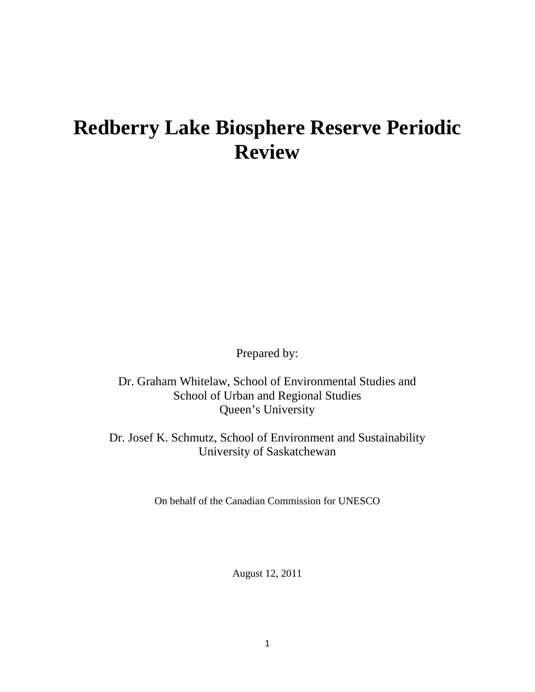# **Redberry Lake Biosphere Reserve Periodic Review**

Prepared by:

Dr. Graham Whitelaw, School of Environmental Studies and School of Urban and Regional Studies Queen's University

Dr. Josef K. Schmutz, [School of Environment and Sustainability](http://www.usask.ca/sens/) University of Saskatchewan

On behalf of the Canadian Commission for UNESCO

August 12, 2011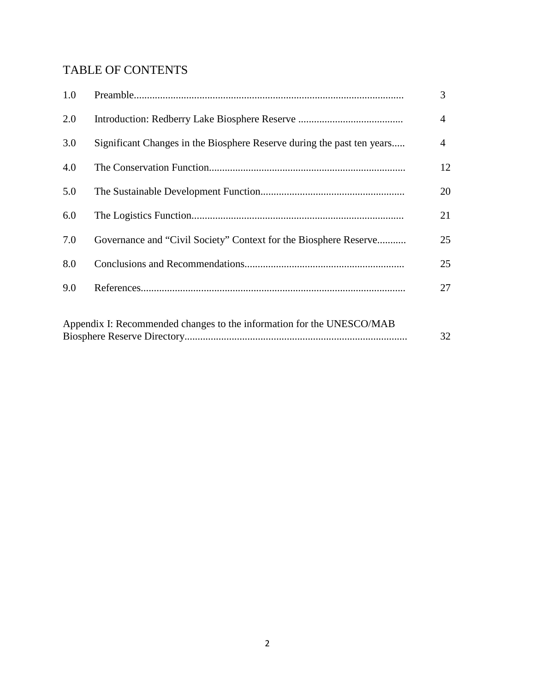# TABLE OF CONTENTS

| 1.0 |                                                                        | 3  |
|-----|------------------------------------------------------------------------|----|
| 2.0 |                                                                        | 4  |
| 3.0 | Significant Changes in the Biosphere Reserve during the past ten years | 4  |
| 4.0 |                                                                        | 12 |
| 5.0 |                                                                        | 20 |
| 6.0 |                                                                        | 21 |
| 7.0 | Governance and "Civil Society" Context for the Biosphere Reserve       | 25 |
| 8.0 |                                                                        | 25 |
| 9.0 |                                                                        | 27 |
|     |                                                                        |    |
|     | Appendix I: Recommended changes to the information for the UNESCO/MAB  | 32 |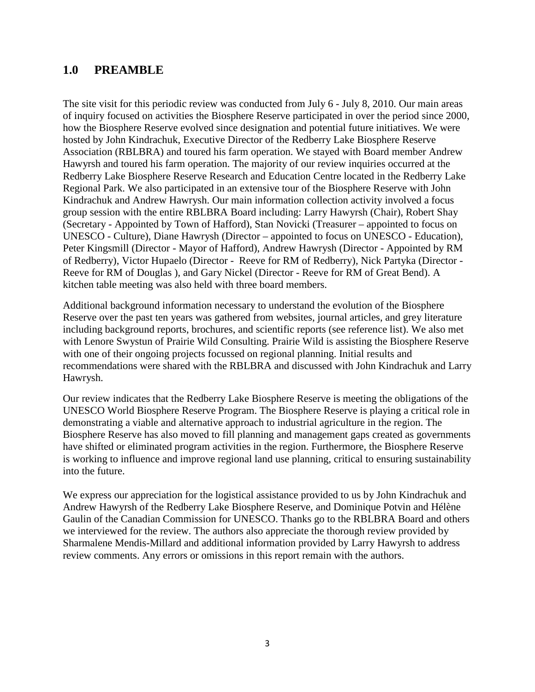# **1.0 PREAMBLE**

The site visit for this periodic review was conducted from July 6 - July 8, 2010. Our main areas of inquiry focused on activities the Biosphere Reserve participated in over the period since 2000, how the Biosphere Reserve evolved since designation and potential future initiatives. We were hosted by John Kindrachuk, Executive Director of the Redberry Lake Biosphere Reserve Association (RBLBRA) and toured his farm operation. We stayed with Board member Andrew Hawyrsh and toured his farm operation. The majority of our review inquiries occurred at the Redberry Lake Biosphere Reserve Research and Education Centre located in the Redberry Lake Regional Park. We also participated in an extensive tour of the Biosphere Reserve with John Kindrachuk and Andrew Hawrysh. Our main information collection activity involved a focus group session with the entire RBLBRA Board including: Larry Hawyrsh (Chair), Robert Shay (Secretary - Appointed by Town of Hafford), Stan Novicki (Treasurer – appointed to focus on UNESCO - Culture), Diane Hawrysh (Director – appointed to focus on UNESCO - Education), Peter Kingsmill (Director - Mayor of Hafford), Andrew Hawrysh (Director - Appointed by RM of Redberry), Victor Hupaelo (Director - Reeve for RM of Redberry), Nick Partyka (Director - Reeve for RM of Douglas ), and Gary Nickel (Director - Reeve for RM of Great Bend). A kitchen table meeting was also held with three board members.

Additional background information necessary to understand the evolution of the Biosphere Reserve over the past ten years was gathered from websites, journal articles, and grey literature including background reports, brochures, and scientific reports (see reference list). We also met with Lenore Swystun of Prairie Wild Consulting. Prairie Wild is assisting the Biosphere Reserve with one of their ongoing projects focussed on regional planning. Initial results and recommendations were shared with the RBLBRA and discussed with John Kindrachuk and Larry Hawrysh.

Our review indicates that the Redberry Lake Biosphere Reserve is meeting the obligations of the UNESCO World Biosphere Reserve Program. The Biosphere Reserve is playing a critical role in demonstrating a viable and alternative approach to industrial agriculture in the region. The Biosphere Reserve has also moved to fill planning and management gaps created as governments have shifted or eliminated program activities in the region. Furthermore, the Biosphere Reserve is working to influence and improve regional land use planning, critical to ensuring sustainability into the future.

We express our appreciation for the logistical assistance provided to us by John Kindrachuk and Andrew Hawyrsh of the Redberry Lake Biosphere Reserve, and Dominique Potvin and Hélène Gaulin of the Canadian Commission for UNESCO. Thanks go to the RBLBRA Board and others we interviewed for the review. The authors also appreciate the thorough review provided by Sharmalene Mendis-Millard and additional information provided by Larry Hawyrsh to address review comments. Any errors or omissions in this report remain with the authors.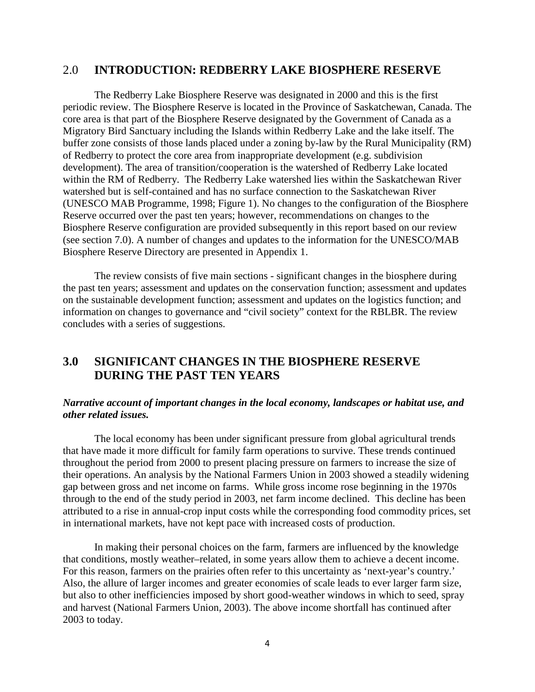## 2.0 **INTRODUCTION: REDBERRY LAKE BIOSPHERE RESERVE**

The Redberry Lake Biosphere Reserve was designated in 2000 and this is the first periodic review. The Biosphere Reserve is located in the Province of Saskatchewan, Canada. The core area is that part of the Biosphere Reserve designated by the Government of Canada as a Migratory Bird Sanctuary including the Islands within Redberry Lake and the lake itself. The buffer zone consists of those lands placed under a zoning by-law by the Rural Municipality (RM) of Redberry to protect the core area from inappropriate development (e.g. subdivision development). The area of transition/cooperation is the watershed of Redberry Lake located within the RM of Redberry. The Redberry Lake watershed lies within the Saskatchewan River watershed but is self-contained and has no surface connection to the Saskatchewan River (UNESCO MAB Programme, 1998; Figure 1). No changes to the configuration of the Biosphere Reserve occurred over the past ten years; however, recommendations on changes to the Biosphere Reserve configuration are provided subsequently in this report based on our review (see section 7.0). A number of changes and updates to the information for the UNESCO/MAB Biosphere Reserve Directory are presented in Appendix 1.

The review consists of five main sections - significant changes in the biosphere during the past ten years; assessment and updates on the conservation function; assessment and updates on the sustainable development function; assessment and updates on the logistics function; and information on changes to governance and "civil society" context for the RBLBR. The review concludes with a series of suggestions.

# **3.0 SIGNIFICANT CHANGES IN THE BIOSPHERE RESERVE DURING THE PAST TEN YEARS**

#### *Narrative account of important changes in the local economy, landscapes or habitat use, and other related issues.*

The local economy has been under significant pressure from global agricultural trends that have made it more difficult for family farm operations to survive. These trends continued throughout the period from 2000 to present placing pressure on farmers to increase the size of their operations. An analysis by the National Farmers Union in 2003 showed a steadily widening gap between gross and net income on farms. While gross income rose beginning in the 1970s through to the end of the study period in 2003, net farm income declined. This decline has been attributed to a rise in annual-crop input costs while the corresponding food commodity prices, set in international markets, have not kept pace with increased costs of production.

In making their personal choices on the farm, farmers are influenced by the knowledge that conditions, mostly weather–related, in some years allow them to achieve a decent income. For this reason, farmers on the prairies often refer to this uncertainty as 'next-year's country.' Also, the allure of larger incomes and greater economies of scale leads to ever larger farm size, but also to other inefficiencies imposed by short good-weather windows in which to seed, spray and harvest (National Farmers Union, 2003). The above income shortfall has continued after 2003 to today.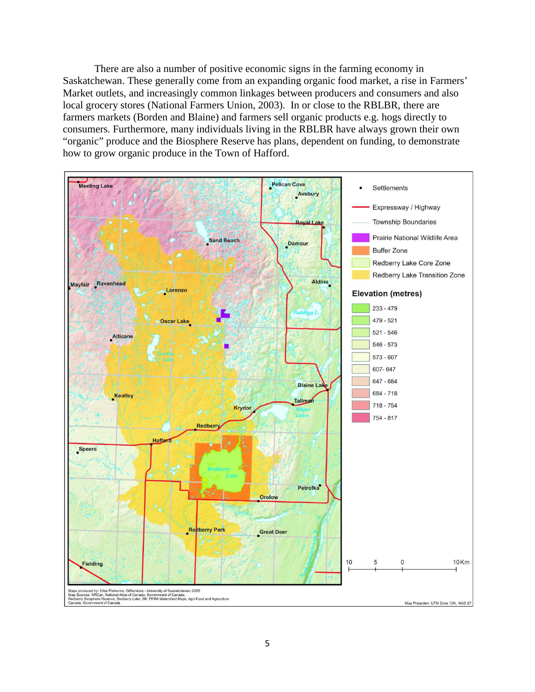There are also a number of positive economic signs in the farming economy in Saskatchewan. These generally come from an expanding organic food market, a rise in Farmers' Market outlets, and increasingly common linkages between producers and consumers and also local grocery stores (National Farmers Union, 2003). In or close to the RBLBR, there are farmers markets (Borden and Blaine) and farmers sell organic products e.g. hogs directly to consumers. Furthermore, many individuals living in the RBLBR have always grown their own "organic" produce and the Biosphere Reserve has plans, dependent on funding, to demonstrate how to grow organic produce in the Town of Hafford.

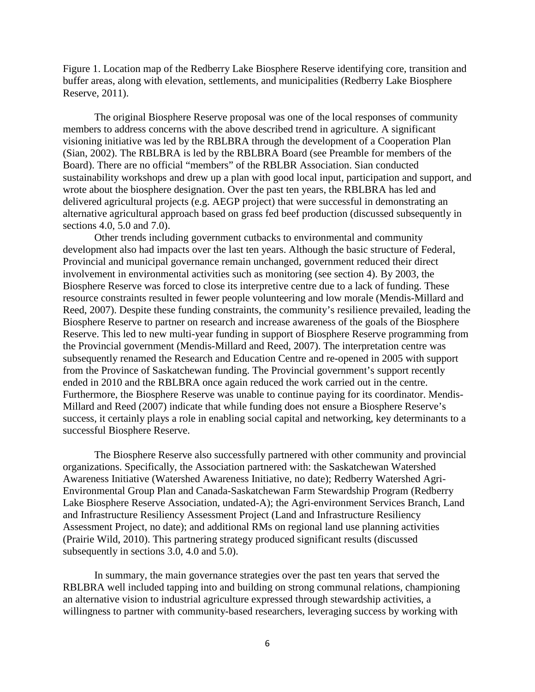Figure 1. Location map of the Redberry Lake Biosphere Reserve identifying core, transition and buffer areas, along with elevation, settlements, and municipalities (Redberry Lake Biosphere Reserve, 2011).

The original Biosphere Reserve proposal was one of the local responses of community members to address concerns with the above described trend in agriculture. A significant visioning initiative was led by the RBLBRA through the development of a Cooperation Plan (Sian, 2002). The RBLBRA is led by the RBLBRA Board (see Preamble for members of the Board). There are no official "members" of the RBLBR Association. Sian conducted sustainability workshops and drew up a plan with good local input, participation and support, and wrote about the biosphere designation. Over the past ten years, the RBLBRA has led and delivered agricultural projects (e.g. AEGP project) that were successful in demonstrating an alternative agricultural approach based on grass fed beef production (discussed subsequently in sections 4.0, 5.0 and 7.0).

Other trends including government cutbacks to environmental and community development also had impacts over the last ten years. Although the basic structure of Federal, Provincial and municipal governance remain unchanged, government reduced their direct involvement in environmental activities such as monitoring (see section 4). By 2003, the Biosphere Reserve was forced to close its interpretive centre due to a lack of funding. These resource constraints resulted in fewer people volunteering and low morale (Mendis-Millard and Reed, 2007). Despite these funding constraints, the community's resilience prevailed, leading the Biosphere Reserve to partner on research and increase awareness of the goals of the Biosphere Reserve. This led to new multi-year funding in support of Biosphere Reserve programming from the Provincial government (Mendis-Millard and Reed, 2007). The interpretation centre was subsequently renamed the Research and Education Centre and re-opened in 2005 with support from the Province of Saskatchewan funding. The Provincial government's support recently ended in 2010 and the RBLBRA once again reduced the work carried out in the centre. Furthermore, the Biosphere Reserve was unable to continue paying for its coordinator. Mendis-Millard and Reed (2007) indicate that while funding does not ensure a Biosphere Reserve's success, it certainly plays a role in enabling social capital and networking, key determinants to a successful Biosphere Reserve.

The Biosphere Reserve also successfully partnered with other community and provincial organizations. Specifically, the Association partnered with: the Saskatchewan Watershed Awareness Initiative (Watershed Awareness Initiative, no date); Redberry Watershed Agri-Environmental Group Plan and Canada-Saskatchewan Farm Stewardship Program (Redberry Lake Biosphere Reserve Association, undated-A); the Agri-environment Services Branch, Land and Infrastructure Resiliency Assessment Project (Land and Infrastructure Resiliency Assessment Project, no date); and additional RMs on regional land use planning activities (Prairie Wild, 2010). This partnering strategy produced significant results (discussed subsequently in sections 3.0, 4.0 and 5.0).

In summary, the main governance strategies over the past ten years that served the RBLBRA well included tapping into and building on strong communal relations, championing an alternative vision to industrial agriculture expressed through stewardship activities, a willingness to partner with community-based researchers, leveraging success by working with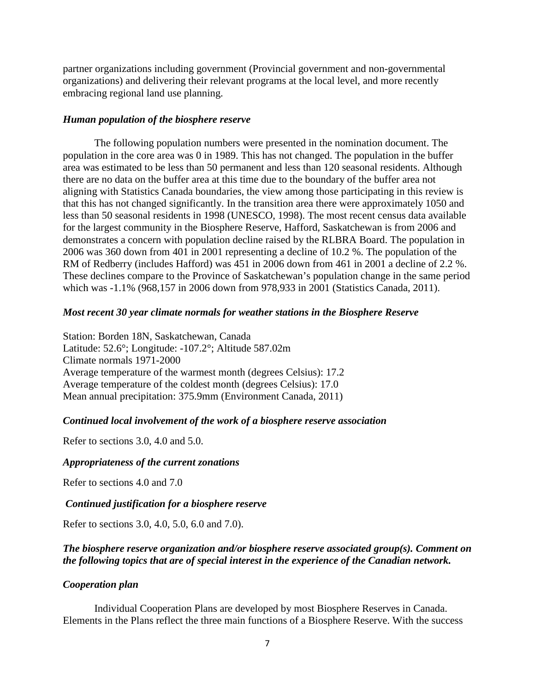partner organizations including government (Provincial government and non-governmental organizations) and delivering their relevant programs at the local level, and more recently embracing regional land use planning.

#### *Human population of the biosphere reserve*

The following population numbers were presented in the nomination document. The population in the core area was 0 in 1989. This has not changed. The population in the buffer area was estimated to be less than 50 permanent and less than 120 seasonal residents. Although there are no data on the buffer area at this time due to the boundary of the buffer area not aligning with Statistics Canada boundaries, the view among those participating in this review is that this has not changed significantly. In the transition area there were approximately 1050 and less than 50 seasonal residents in 1998 (UNESCO, 1998). The most recent census data available for the largest community in the Biosphere Reserve, Hafford, Saskatchewan is from 2006 and demonstrates a concern with population decline raised by the RLBRA Board. The population in 2006 was 360 down from 401 in 2001 representing a decline of 10.2 %. The population of the RM of Redberry (includes Hafford) was 451 in 2006 down from 461 in 2001 a decline of 2.2 %. These declines compare to the Province of Saskatchewan's population change in the same period which was -1.1% (968,157 in 2006 down from 978,933 in 2001 (Statistics Canada, 2011).

### *Most recent 30 year climate normals for weather stations in the Biosphere Reserve*

Station: Borden 18N, Saskatchewan, Canada Latitude: 52.6°; Longitude: -107.2°; Altitude 587.02m Climate normals 1971-2000 Average temperature of the warmest month (degrees Celsius): 17.2 Average temperature of the coldest month (degrees Celsius): 17.0 Mean annual precipitation: 375.9mm (Environment Canada, 2011)

#### *Continued local involvement of the work of a biosphere reserve association*

Refer to sections 3.0, 4.0 and 5.0.

#### *Appropriateness of the current zonations*

Refer to sections 4.0 and 7.0

#### *Continued justification for a biosphere reserve*

Refer to sections 3.0, 4.0, 5.0, 6.0 and 7.0).

## *The biosphere reserve organization and/or biosphere reserve associated group(s). Comment on the following topics that are of special interest in the experience of the Canadian network.*

#### *Cooperation plan*

Individual Cooperation Plans are developed by most Biosphere Reserves in Canada. Elements in the Plans reflect the three main functions of a Biosphere Reserve. With the success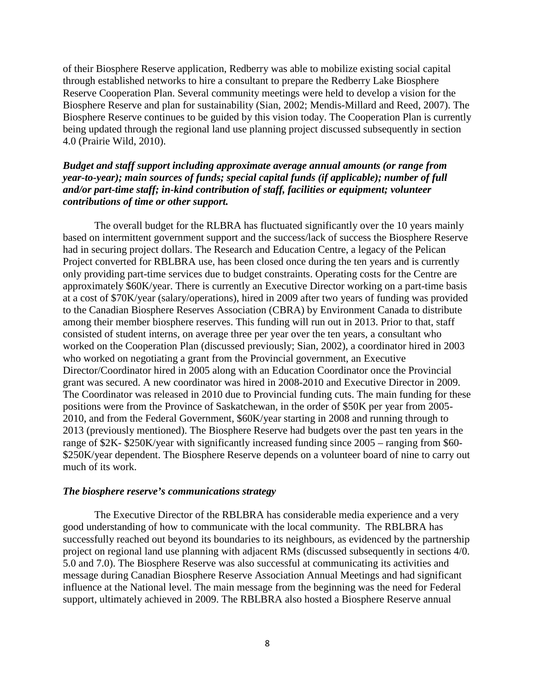of their Biosphere Reserve application, Redberry was able to mobilize existing social capital through established networks to hire a consultant to prepare the Redberry Lake Biosphere Reserve Cooperation Plan. Several community meetings were held to develop a vision for the Biosphere Reserve and plan for sustainability (Sian, 2002; Mendis-Millard and Reed, 2007). The Biosphere Reserve continues to be guided by this vision today. The Cooperation Plan is currently being updated through the regional land use planning project discussed subsequently in section 4.0 (Prairie Wild, 2010).

### *Budget and staff support including approximate average annual amounts (or range from year-to-year); main sources of funds; special capital funds (if applicable); number of full and/or part-time staff; in-kind contribution of staff, facilities or equipment; volunteer contributions of time or other support.*

The overall budget for the RLBRA has fluctuated significantly over the 10 years mainly based on intermittent government support and the success/lack of success the Biosphere Reserve had in securing project dollars. The Research and Education Centre, a legacy of the Pelican Project converted for RBLBRA use, has been closed once during the ten years and is currently only providing part-time services due to budget constraints. Operating costs for the Centre are approximately \$60K/year. There is currently an Executive Director working on a part-time basis at a cost of \$70K/year (salary/operations), hired in 2009 after two years of funding was provided to the Canadian Biosphere Reserves Association (CBRA) by Environment Canada to distribute among their member biosphere reserves. This funding will run out in 2013. Prior to that, staff consisted of student interns, on average three per year over the ten years, a consultant who worked on the Cooperation Plan (discussed previously; Sian, 2002), a coordinator hired in 2003 who worked on negotiating a grant from the Provincial government, an Executive Director/Coordinator hired in 2005 along with an Education Coordinator once the Provincial grant was secured. A new coordinator was hired in 2008-2010 and Executive Director in 2009. The Coordinator was released in 2010 due to Provincial funding cuts. The main funding for these positions were from the Province of Saskatchewan, in the order of \$50K per year from 2005- 2010, and from the Federal Government, \$60K/year starting in 2008 and running through to 2013 (previously mentioned). The Biosphere Reserve had budgets over the past ten years in the range of \$2K- \$250K/year with significantly increased funding since 2005 – ranging from \$60- \$250K/year dependent. The Biosphere Reserve depends on a volunteer board of nine to carry out much of its work.

#### *The biosphere reserve's communications strategy*

The Executive Director of the RBLBRA has considerable media experience and a very good understanding of how to communicate with the local community. The RBLBRA has successfully reached out beyond its boundaries to its neighbours, as evidenced by the partnership project on regional land use planning with adjacent RMs (discussed subsequently in sections 4/0. 5.0 and 7.0). The Biosphere Reserve was also successful at communicating its activities and message during Canadian Biosphere Reserve Association Annual Meetings and had significant influence at the National level. The main message from the beginning was the need for Federal support, ultimately achieved in 2009. The RBLBRA also hosted a Biosphere Reserve annual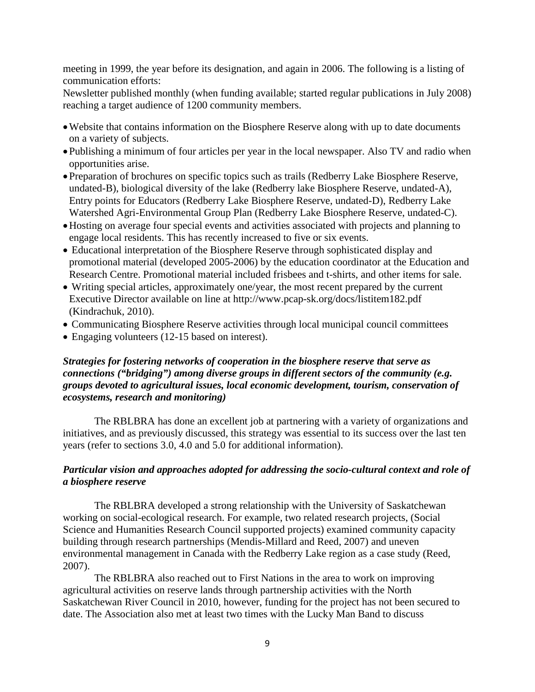meeting in 1999, the year before its designation, and again in 2006. The following is a listing of communication efforts:

Newsletter published monthly (when funding available; started regular publications in July 2008) reaching a target audience of 1200 community members.

- •Website that contains information on the Biosphere Reserve along with up to date documents on a variety of subjects.
- •Publishing a minimum of four articles per year in the local newspaper. Also TV and radio when opportunities arise.
- •Preparation of brochures on specific topics such as trails (Redberry Lake Biosphere Reserve, undated-B), biological diversity of the lake (Redberry lake Biosphere Reserve, undated-A), Entry points for Educators (Redberry Lake Biosphere Reserve, undated-D), Redberry Lake Watershed Agri-Environmental Group Plan (Redberry Lake Biosphere Reserve, undated-C).
- •Hosting on average four special events and activities associated with projects and planning to engage local residents. This has recently increased to five or six events.
- Educational interpretation of the Biosphere Reserve through sophisticated display and promotional material (developed 2005-2006) by the education coordinator at the Education and Research Centre. Promotional material included frisbees and t-shirts, and other items for sale.
- Writing special articles, approximately one/year, the most recent prepared by the current Executive Director available on line at http://www.pcap-sk.org/docs/listitem182.pdf (Kindrachuk, 2010).
- Communicating Biosphere Reserve activities through local municipal council committees
- Engaging volunteers (12-15 based on interest).

# *Strategies for fostering networks of cooperation in the biosphere reserve that serve as connections ("bridging") among diverse groups in different sectors of the community (e.g. groups devoted to agricultural issues, local economic development, tourism, conservation of ecosystems, research and monitoring)*

The RBLBRA has done an excellent job at partnering with a variety of organizations and initiatives, and as previously discussed, this strategy was essential to its success over the last ten years (refer to sections 3.0, 4.0 and 5.0 for additional information).

## *Particular vision and approaches adopted for addressing the socio-cultural context and role of a biosphere reserve*

The RBLBRA developed a strong relationship with the University of Saskatchewan working on social-ecological research. For example, two related research projects, (Social Science and Humanities Research Council supported projects) examined community capacity building through research partnerships (Mendis-Millard and Reed, 2007) and uneven environmental management in Canada with the Redberry Lake region as a case study (Reed, 2007).

The RBLBRA also reached out to First Nations in the area to work on improving agricultural activities on reserve lands through partnership activities with the North Saskatchewan River Council in 2010, however, funding for the project has not been secured to date. The Association also met at least two times with the Lucky Man Band to discuss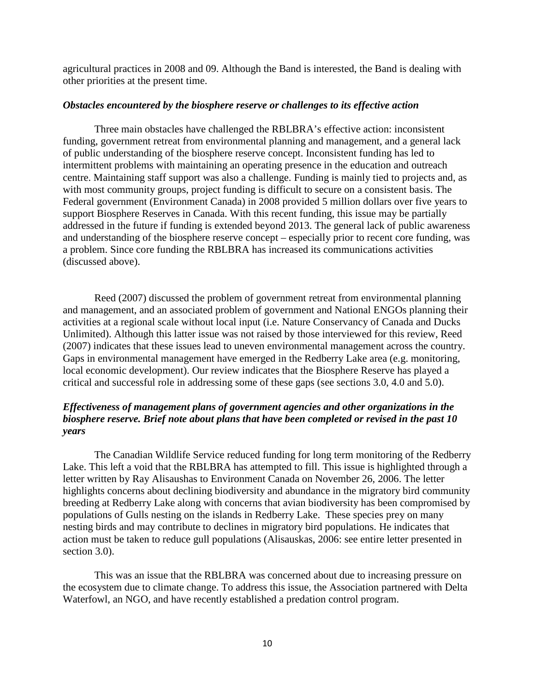agricultural practices in 2008 and 09. Although the Band is interested, the Band is dealing with other priorities at the present time.

#### *Obstacles encountered by the biosphere reserve or challenges to its effective action*

Three main obstacles have challenged the RBLBRA's effective action: inconsistent funding, government retreat from environmental planning and management, and a general lack of public understanding of the biosphere reserve concept. Inconsistent funding has led to intermittent problems with maintaining an operating presence in the education and outreach centre. Maintaining staff support was also a challenge. Funding is mainly tied to projects and, as with most community groups, project funding is difficult to secure on a consistent basis. The Federal government (Environment Canada) in 2008 provided 5 million dollars over five years to support Biosphere Reserves in Canada. With this recent funding, this issue may be partially addressed in the future if funding is extended beyond 2013. The general lack of public awareness and understanding of the biosphere reserve concept – especially prior to recent core funding, was a problem. Since core funding the RBLBRA has increased its communications activities (discussed above).

Reed (2007) discussed the problem of government retreat from environmental planning and management, and an associated problem of government and National ENGOs planning their activities at a regional scale without local input (i.e. Nature Conservancy of Canada and Ducks Unlimited). Although this latter issue was not raised by those interviewed for this review, Reed (2007) indicates that these issues lead to uneven environmental management across the country. Gaps in environmental management have emerged in the Redberry Lake area (e.g. monitoring, local economic development). Our review indicates that the Biosphere Reserve has played a critical and successful role in addressing some of these gaps (see sections 3.0, 4.0 and 5.0).

# *Effectiveness of management plans of government agencies and other organizations in the biosphere reserve. Brief note about plans that have been completed or revised in the past 10 years*

The Canadian Wildlife Service reduced funding for long term monitoring of the Redberry Lake. This left a void that the RBLBRA has attempted to fill. This issue is highlighted through a letter written by Ray Alisaushas to Environment Canada on November 26, 2006. The letter highlights concerns about declining biodiversity and abundance in the migratory bird community breeding at Redberry Lake along with concerns that avian biodiversity has been compromised by populations of Gulls nesting on the islands in Redberry Lake. These species prey on many nesting birds and may contribute to declines in migratory bird populations. He indicates that action must be taken to reduce gull populations (Alisauskas, 2006: see entire letter presented in section 3.0).

This was an issue that the RBLBRA was concerned about due to increasing pressure on the ecosystem due to climate change. To address this issue, the Association partnered with Delta Waterfowl, an NGO, and have recently established a predation control program.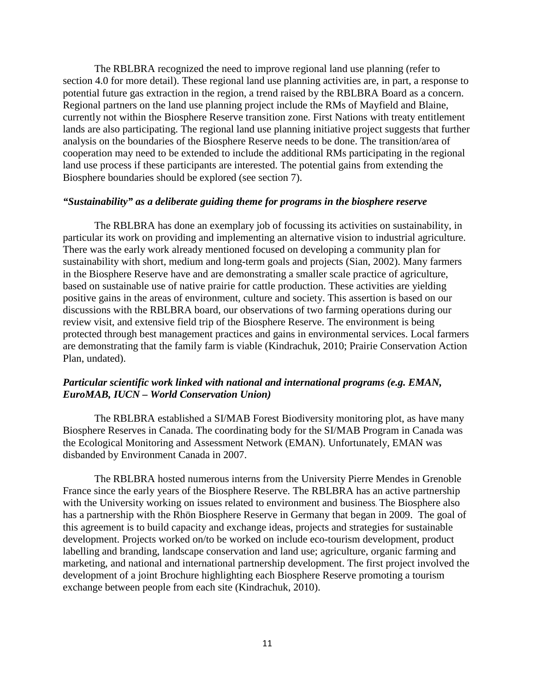The RBLBRA recognized the need to improve regional land use planning (refer to section 4.0 for more detail). These regional land use planning activities are, in part, a response to potential future gas extraction in the region, a trend raised by the RBLBRA Board as a concern. Regional partners on the land use planning project include the RMs of Mayfield and Blaine, currently not within the Biosphere Reserve transition zone. First Nations with treaty entitlement lands are also participating. The regional land use planning initiative project suggests that further analysis on the boundaries of the Biosphere Reserve needs to be done. The transition/area of cooperation may need to be extended to include the additional RMs participating in the regional land use process if these participants are interested. The potential gains from extending the Biosphere boundaries should be explored (see section 7).

#### *"Sustainability" as a deliberate guiding theme for programs in the biosphere reserve*

The RBLBRA has done an exemplary job of focussing its activities on sustainability, in particular its work on providing and implementing an alternative vision to industrial agriculture. There was the early work already mentioned focused on developing a community plan for sustainability with short, medium and long-term goals and projects (Sian, 2002). Many farmers in the Biosphere Reserve have and are demonstrating a smaller scale practice of agriculture, based on sustainable use of native prairie for cattle production. These activities are yielding positive gains in the areas of environment, culture and society. This assertion is based on our discussions with the RBLBRA board, our observations of two farming operations during our review visit, and extensive field trip of the Biosphere Reserve. The environment is being protected through best management practices and gains in environmental services. Local farmers are demonstrating that the family farm is viable (Kindrachuk, 2010; Prairie Conservation Action Plan, undated).

### *Particular scientific work linked with national and international programs (e.g. EMAN, EuroMAB, IUCN – World Conservation Union)*

The RBLBRA established a SI/MAB Forest Biodiversity monitoring plot, as have many Biosphere Reserves in Canada. The coordinating body for the SI/MAB Program in Canada was the Ecological Monitoring and Assessment Network (EMAN). Unfortunately, EMAN was disbanded by Environment Canada in 2007.

The RBLBRA hosted numerous interns from the University Pierre Mendes in Grenoble France since the early years of the Biosphere Reserve. The RBLBRA has an active partnership with the University working on issues related to environment and business. The Biosphere also has a partnership with the Rhön Biosphere Reserve in Germany that began in 2009. The goal of this agreement is to build capacity and exchange ideas, projects and strategies for sustainable development. Projects worked on/to be worked on include eco-tourism development, product labelling and branding, landscape conservation and land use; agriculture, organic farming and marketing, and national and international partnership development. The first project involved the development of a joint Brochure highlighting each Biosphere Reserve promoting a tourism exchange between people from each site (Kindrachuk, 2010).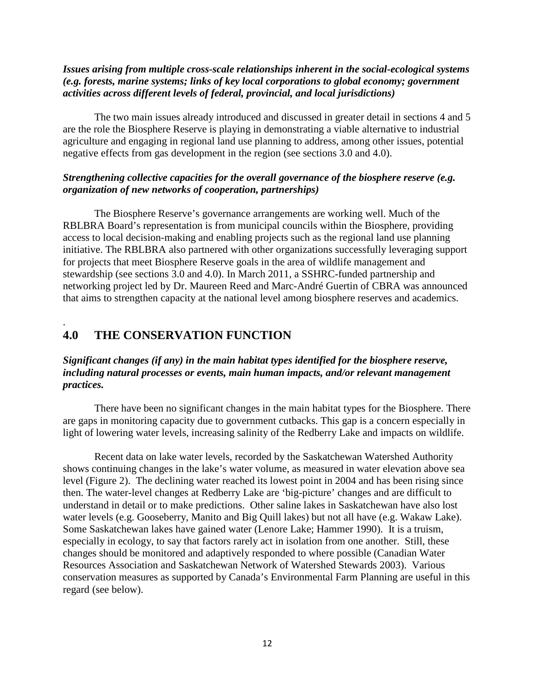## *Issues arising from multiple cross-scale relationships inherent in the social-ecological systems (e.g. forests, marine systems; links of key local corporations to global economy; government activities across different levels of federal, provincial, and local jurisdictions)*

The two main issues already introduced and discussed in greater detail in sections 4 and 5 are the role the Biosphere Reserve is playing in demonstrating a viable alternative to industrial agriculture and engaging in regional land use planning to address, among other issues, potential negative effects from gas development in the region (see sections 3.0 and 4.0).

# *Strengthening collective capacities for the overall governance of the biosphere reserve (e.g. organization of new networks of cooperation, partnerships)*

The Biosphere Reserve's governance arrangements are working well. Much of the RBLBRA Board's representation is from municipal councils within the Biosphere, providing access to local decision-making and enabling projects such as the regional land use planning initiative. The RBLBRA also partnered with other organizations successfully leveraging support for projects that meet Biosphere Reserve goals in the area of wildlife management and stewardship (see sections 3.0 and 4.0). In March 2011, a SSHRC-funded partnership and networking project led by Dr. Maureen Reed and Marc-André Guertin of CBRA was announced that aims to strengthen capacity at the national level among biosphere reserves and academics.

# **4.0 THE CONSERVATION FUNCTION**

.

# *Significant changes (if any) in the main habitat types identified for the biosphere reserve, including natural processes or events, main human impacts, and/or relevant management practices.*

There have been no significant changes in the main habitat types for the Biosphere. There are gaps in monitoring capacity due to government cutbacks. This gap is a concern especially in light of lowering water levels, increasing salinity of the Redberry Lake and impacts on wildlife.

Recent data on lake water levels, recorded by the Saskatchewan Watershed Authority shows continuing changes in the lake's water volume, as measured in water elevation above sea level (Figure 2). The declining water reached its lowest point in 2004 and has been rising since then. The water-level changes at Redberry Lake are 'big-picture' changes and are difficult to understand in detail or to make predictions. Other saline lakes in Saskatchewan have also lost water levels (e.g. Gooseberry, Manito and Big Quill lakes) but not all have (e.g. Wakaw Lake). Some Saskatchewan lakes have gained water (Lenore Lake; Hammer 1990). It is a truism, especially in ecology, to say that factors rarely act in isolation from one another. Still, these changes should be monitored and adaptively responded to where possible (Canadian Water Resources Association and Saskatchewan Network of Watershed Stewards 2003). Various conservation measures as supported by Canada's Environmental Farm Planning are useful in this regard (see below).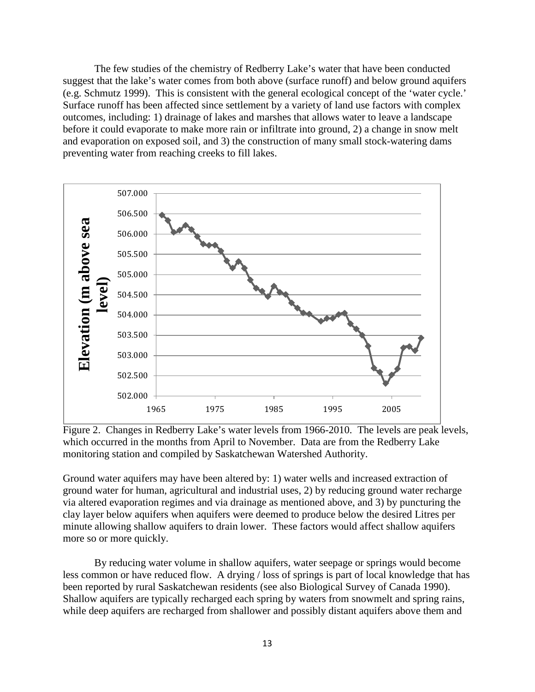The few studies of the chemistry of Redberry Lake's water that have been conducted suggest that the lake's water comes from both above (surface runoff) and below ground aquifers (e.g. Schmutz 1999). This is consistent with the general ecological concept of the 'water cycle.' Surface runoff has been affected since settlement by a variety of land use factors with complex outcomes, including: 1) drainage of lakes and marshes that allows water to leave a landscape before it could evaporate to make more rain or infiltrate into ground, 2) a change in snow melt and evaporation on exposed soil, and 3) the construction of many small stock-watering dams preventing water from reaching creeks to fill lakes.



Figure 2. Changes in Redberry Lake's water levels from 1966-2010. The levels are peak levels, which occurred in the months from April to November. Data are from the Redberry Lake monitoring station and compiled by Saskatchewan Watershed Authority.

Ground water aquifers may have been altered by: 1) water wells and increased extraction of ground water for human, agricultural and industrial uses, 2) by reducing ground water recharge via altered evaporation regimes and via drainage as mentioned above, and 3) by puncturing the clay layer below aquifers when aquifers were deemed to produce below the desired Litres per minute allowing shallow aquifers to drain lower. These factors would affect shallow aquifers more so or more quickly.

By reducing water volume in shallow aquifers, water seepage or springs would become less common or have reduced flow. A drying / loss of springs is part of local knowledge that has been reported by rural Saskatchewan residents (see also Biological Survey of Canada 1990). Shallow aquifers are typically recharged each spring by waters from snowmelt and spring rains, while deep aquifers are recharged from shallower and possibly distant aquifers above them and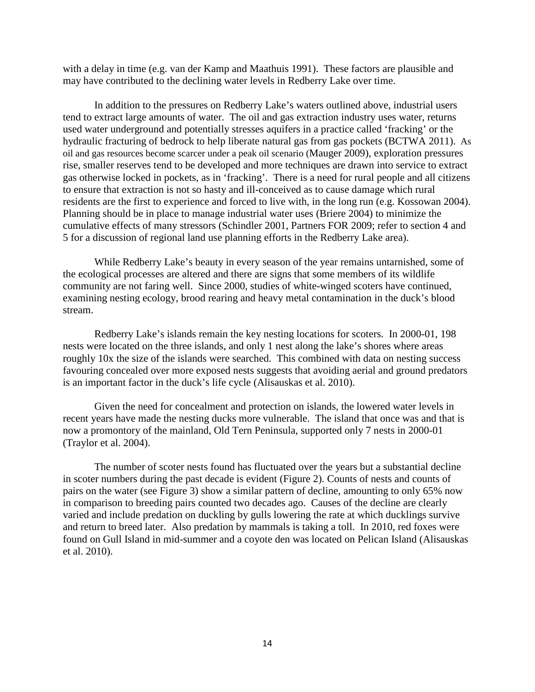with a delay in time (e.g. van der Kamp and Maathuis 1991). These factors are plausible and may have contributed to the declining water levels in Redberry Lake over time.

In addition to the pressures on Redberry Lake's waters outlined above, industrial users tend to extract large amounts of water. The oil and gas extraction industry uses water, returns used water underground and potentially stresses aquifers in a practice called 'fracking' or the hydraulic fracturing of bedrock to help liberate natural gas from gas pockets (BCTWA 2011). As oil and gas resources become scarcer under a peak oil scenario (Mauger 2009), exploration pressures rise, smaller reserves tend to be developed and more techniques are drawn into service to extract gas otherwise locked in pockets, as in 'fracking'. There is a need for rural people and all citizens to ensure that extraction is not so hasty and ill-conceived as to cause damage which rural residents are the first to experience and forced to live with, in the long run (e.g. Kossowan 2004). Planning should be in place to manage industrial water uses (Briere 2004) to minimize the cumulative effects of many stressors (Schindler 2001, Partners FOR 2009; refer to section 4 and 5 for a discussion of regional land use planning efforts in the Redberry Lake area).

While Redberry Lake's beauty in every season of the year remains untarnished, some of the ecological processes are altered and there are signs that some members of its wildlife community are not faring well. Since 2000, studies of white-winged scoters have continued, examining nesting ecology, brood rearing and heavy metal contamination in the duck's blood stream.

Redberry Lake's islands remain the key nesting locations for scoters. In 2000-01, 198 nests were located on the three islands, and only 1 nest along the lake's shores where areas roughly 10x the size of the islands were searched. This combined with data on nesting success favouring concealed over more exposed nests suggests that avoiding aerial and ground predators is an important factor in the duck's life cycle (Alisauskas et al. 2010).

Given the need for concealment and protection on islands, the lowered water levels in recent years have made the nesting ducks more vulnerable. The island that once was and that is now a promontory of the mainland, Old Tern Peninsula, supported only 7 nests in 2000-01 (Traylor et al. 2004).

The number of scoter nests found has fluctuated over the years but a substantial decline in scoter numbers during the past decade is evident (Figure 2). Counts of nests and counts of pairs on the water (see Figure 3) show a similar pattern of decline, amounting to only 65% now in comparison to breeding pairs counted two decades ago. Causes of the decline are clearly varied and include predation on duckling by gulls lowering the rate at which ducklings survive and return to breed later. Also predation by mammals is taking a toll. In 2010, red foxes were found on Gull Island in mid-summer and a coyote den was located on Pelican Island (Alisauskas et al. 2010).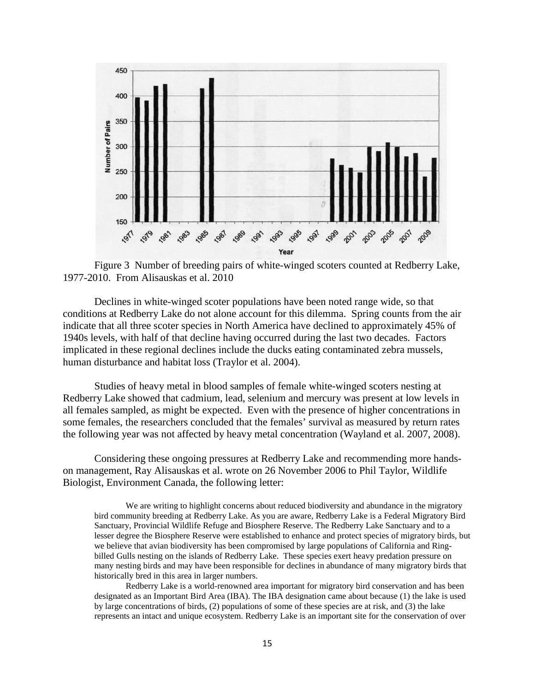

Figure 3 Number of breeding pairs of white-winged scoters counted at Redberry Lake, 1977-2010. From Alisauskas et al. 2010

Declines in white-winged scoter populations have been noted range wide, so that conditions at Redberry Lake do not alone account for this dilemma. Spring counts from the air indicate that all three scoter species in North America have declined to approximately 45% of 1940s levels, with half of that decline having occurred during the last two decades. Factors implicated in these regional declines include the ducks eating contaminated zebra mussels, human disturbance and habitat loss (Traylor et al. 2004).

Studies of heavy metal in blood samples of female white-winged scoters nesting at Redberry Lake showed that cadmium, lead, selenium and mercury was present at low levels in all females sampled, as might be expected. Even with the presence of higher concentrations in some females, the researchers concluded that the females' survival as measured by return rates the following year was not affected by heavy metal concentration (Wayland et al. 2007, 2008).

Considering these ongoing pressures at Redberry Lake and recommending more handson management, Ray Alisauskas et al. wrote on 26 November 2006 to Phil Taylor, Wildlife Biologist, Environment Canada, the following letter:

We are writing to highlight concerns about reduced biodiversity and abundance in the migratory bird community breeding at Redberry Lake. As you are aware, Redberry Lake is a Federal Migratory Bird Sanctuary, Provincial Wildlife Refuge and Biosphere Reserve. The Redberry Lake Sanctuary and to a lesser degree the Biosphere Reserve were established to enhance and protect species of migratory birds, but we believe that avian biodiversity has been compromised by large populations of California and Ringbilled Gulls nesting on the islands of Redberry Lake. These species exert heavy predation pressure on many nesting birds and may have been responsible for declines in abundance of many migratory birds that historically bred in this area in larger numbers.

Redberry Lake is a world-renowned area important for migratory bird conservation and has been designated as an Important Bird Area (IBA). The IBA designation came about because (1) the lake is used by large concentrations of birds, (2) populations of some of these species are at risk, and (3) the lake represents an intact and unique ecosystem. Redberry Lake is an important site for the conservation of over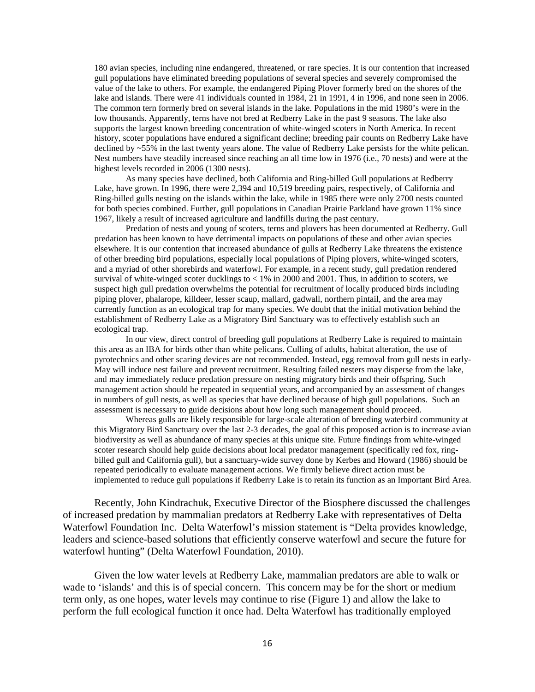180 avian species, including nine endangered, threatened, or rare species. It is our contention that increased gull populations have eliminated breeding populations of several species and severely compromised the value of the lake to others. For example, the endangered Piping Plover formerly bred on the shores of the lake and islands. There were 41 individuals counted in 1984, 21 in 1991, 4 in 1996, and none seen in 2006. The common tern formerly bred on several islands in the lake. Populations in the mid 1980's were in the low thousands. Apparently, terns have not bred at Redberry Lake in the past 9 seasons. The lake also supports the largest known breeding concentration of white-winged scoters in North America. In recent history, scoter populations have endured a significant decline; breeding pair counts on Redberry Lake have declined by ~55% in the last twenty years alone. The value of Redberry Lake persists for the white pelican. Nest numbers have steadily increased since reaching an all time low in 1976 (i.e., 70 nests) and were at the highest levels recorded in 2006 (1300 nests).

As many species have declined, both California and Ring-billed Gull populations at Redberry Lake, have grown. In 1996, there were 2,394 and 10,519 breeding pairs, respectively, of California and Ring-billed gulls nesting on the islands within the lake, while in 1985 there were only 2700 nests counted for both species combined. Further, gull populations in Canadian Prairie Parkland have grown 11% since 1967, likely a result of increased agriculture and landfills during the past century.

Predation of nests and young of scoters, terns and plovers has been documented at Redberry. Gull predation has been known to have detrimental impacts on populations of these and other avian species elsewhere. It is our contention that increased abundance of gulls at Redberry Lake threatens the existence of other breeding bird populations, especially local populations of Piping plovers, white-winged scoters, and a myriad of other shorebirds and waterfowl. For example, in a recent study, gull predation rendered survival of white-winged scoter ducklings to  $< 1\%$  in 2000 and 2001. Thus, in addition to scoters, we suspect high gull predation overwhelms the potential for recruitment of locally produced birds including piping plover, phalarope, killdeer, lesser scaup, mallard, gadwall, northern pintail, and the area may currently function as an ecological trap for many species. We doubt that the initial motivation behind the establishment of Redberry Lake as a Migratory Bird Sanctuary was to effectively establish such an ecological trap.

In our view, direct control of breeding gull populations at Redberry Lake is required to maintain this area as an IBA for birds other than white pelicans. Culling of adults, habitat alteration, the use of pyrotechnics and other scaring devices are not recommended. Instead, egg removal from gull nests in early-May will induce nest failure and prevent recruitment. Resulting failed nesters may disperse from the lake, and may immediately reduce predation pressure on nesting migratory birds and their offspring. Such management action should be repeated in sequential years, and accompanied by an assessment of changes in numbers of gull nests, as well as species that have declined because of high gull populations. Such an assessment is necessary to guide decisions about how long such management should proceed.

Whereas gulls are likely responsible for large-scale alteration of breeding waterbird community at this Migratory Bird Sanctuary over the last 2-3 decades, the goal of this proposed action is to increase avian biodiversity as well as abundance of many species at this unique site. Future findings from white-winged scoter research should help guide decisions about local predator management (specifically red fox, ringbilled gull and California gull), but a sanctuary-wide survey done by Kerbes and Howard (1986) should be repeated periodically to evaluate management actions. We firmly believe direct action must be implemented to reduce gull populations if Redberry Lake is to retain its function as an Important Bird Area.

Recently, John Kindrachuk, Executive Director of the Biosphere discussed the challenges of increased predation by mammalian predators at Redberry Lake with representatives of Delta Waterfowl Foundation Inc. Delta Waterfowl's mission statement is "Delta provides knowledge, leaders and science-based solutions that efficiently conserve waterfowl and secure the future for waterfowl hunting" (Delta Waterfowl Foundation, 2010).

Given the low water levels at Redberry Lake, mammalian predators are able to walk or wade to 'islands' and this is of special concern. This concern may be for the short or medium term only, as one hopes, water levels may continue to rise (Figure 1) and allow the lake to perform the full ecological function it once had. Delta Waterfowl has traditionally employed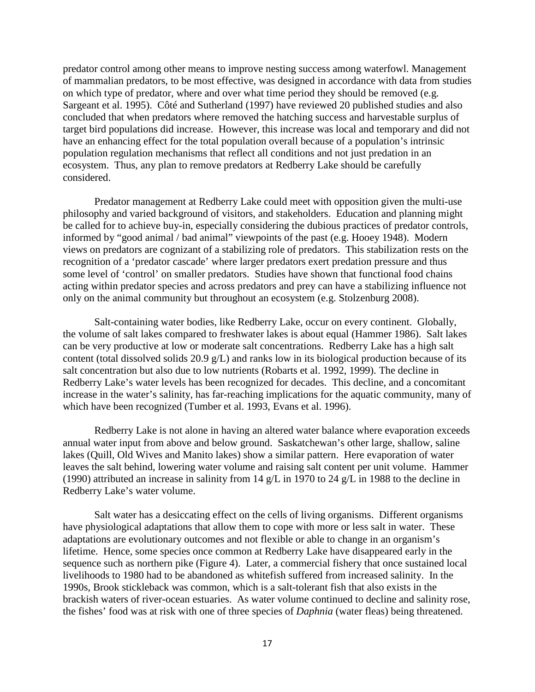predator control among other means to improve nesting success among waterfowl. Management of mammalian predators, to be most effective, was designed in accordance with data from studies on which type of predator, where and over what time period they should be removed (e.g. Sargeant et al. 1995). Côté and Sutherland (1997) have reviewed 20 published studies and also concluded that when predators where removed the hatching success and harvestable surplus of target bird populations did increase. However, this increase was local and temporary and did not have an enhancing effect for the total population overall because of a population's intrinsic population regulation mechanisms that reflect all conditions and not just predation in an ecosystem. Thus, any plan to remove predators at Redberry Lake should be carefully considered.

Predator management at Redberry Lake could meet with opposition given the multi-use philosophy and varied background of visitors, and stakeholders. Education and planning might be called for to achieve buy-in, especially considering the dubious practices of predator controls, informed by "good animal / bad animal" viewpoints of the past (e.g. Hooey 1948). Modern views on predators are cognizant of a stabilizing role of predators. This stabilization rests on the recognition of a 'predator cascade' where larger predators exert predation pressure and thus some level of 'control' on smaller predators. Studies have shown that functional food chains acting within predator species and across predators and prey can have a stabilizing influence not only on the animal community but throughout an ecosystem (e.g. Stolzenburg 2008).

Salt-containing water bodies, like Redberry Lake, occur on every continent. Globally, the volume of salt lakes compared to freshwater lakes is about equal (Hammer 1986). Salt lakes can be very productive at low or moderate salt concentrations. Redberry Lake has a high salt content (total dissolved solids 20.9 g/L) and ranks low in its biological production because of its salt concentration but also due to low nutrients (Robarts et al. 1992, 1999). The decline in Redberry Lake's water levels has been recognized for decades. This decline, and a concomitant increase in the water's salinity, has far-reaching implications for the aquatic community, many of which have been recognized (Tumber et al. 1993, Evans et al. 1996).

Redberry Lake is not alone in having an altered water balance where evaporation exceeds annual water input from above and below ground. Saskatchewan's other large, shallow, saline lakes (Quill, Old Wives and Manito lakes) show a similar pattern. Here evaporation of water leaves the salt behind, lowering water volume and raising salt content per unit volume. Hammer (1990) attributed an increase in salinity from 14 g/L in 1970 to 24 g/L in 1988 to the decline in Redberry Lake's water volume.

Salt water has a desiccating effect on the cells of living organisms. Different organisms have physiological adaptations that allow them to cope with more or less salt in water. These adaptations are evolutionary outcomes and not flexible or able to change in an organism's lifetime. Hence, some species once common at Redberry Lake have disappeared early in the sequence such as northern pike (Figure 4). Later, a commercial fishery that once sustained local livelihoods to 1980 had to be abandoned as whitefish suffered from increased salinity. In the 1990s, Brook stickleback was common, which is a salt-tolerant fish that also exists in the brackish waters of river-ocean estuaries. As water volume continued to decline and salinity rose, the fishes' food was at risk with one of three species of *Daphnia* (water fleas) being threatened.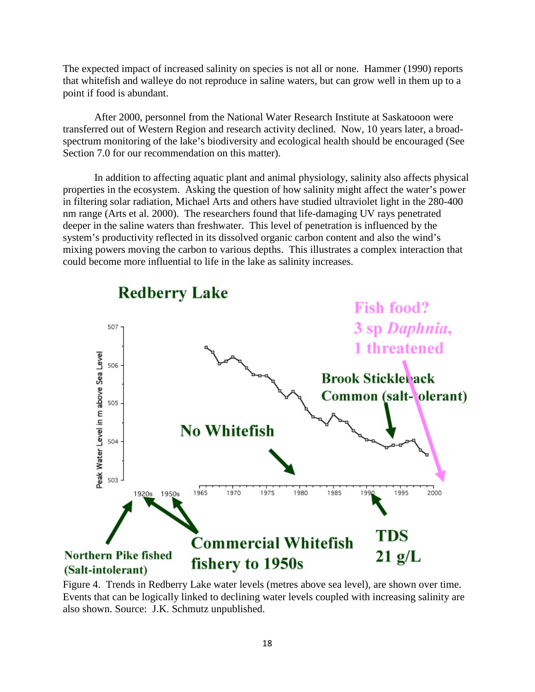The expected impact of increased salinity on species is not all or none. Hammer (1990) reports that whitefish and walleye do not reproduce in saline waters, but can grow well in them up to a point if food is abundant.

After 2000, personnel from the National Water Research Institute at Saskatooon were transferred out of Western Region and research activity declined. Now, 10 years later, a broadspectrum monitoring of the lake's biodiversity and ecological health should be encouraged (See Section 7.0 for our recommendation on this matter).

In addition to affecting aquatic plant and animal physiology, salinity also affects physical properties in the ecosystem. Asking the question of how salinity might affect the water's power in filtering solar radiation, Michael Arts and others have studied ultraviolet light in the 280-400 nm range (Arts et al. 2000). The researchers found that life-damaging UV rays penetrated deeper in the saline waters than freshwater. This level of penetration is influenced by the system's productivity reflected in its dissolved organic carbon content and also the wind's mixing powers moving the carbon to various depths. This illustrates a complex interaction that could become more influential to life in the lake as salinity increases.



Figure 4. Trends in Redberry Lake water levels (metres above sea level), are shown over time. Events that can be logically linked to declining water levels coupled with increasing salinity are also shown. Source: J.K. Schmutz unpublished.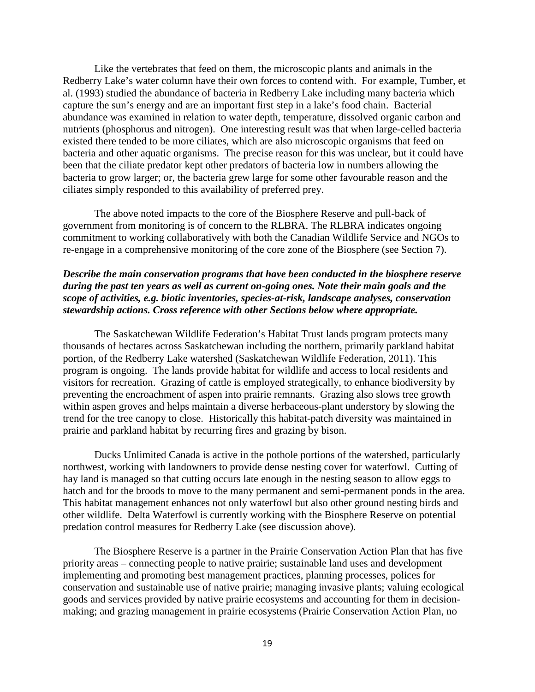Like the vertebrates that feed on them, the microscopic plants and animals in the Redberry Lake's water column have their own forces to contend with. For example, Tumber, et al. (1993) studied the abundance of bacteria in Redberry Lake including many bacteria which capture the sun's energy and are an important first step in a lake's food chain. Bacterial abundance was examined in relation to water depth, temperature, dissolved organic carbon and nutrients (phosphorus and nitrogen). One interesting result was that when large-celled bacteria existed there tended to be more ciliates, which are also microscopic organisms that feed on bacteria and other aquatic organisms. The precise reason for this was unclear, but it could have been that the ciliate predator kept other predators of bacteria low in numbers allowing the bacteria to grow larger; or, the bacteria grew large for some other favourable reason and the ciliates simply responded to this availability of preferred prey.

The above noted impacts to the core of the Biosphere Reserve and pull-back of government from monitoring is of concern to the RLBRA. The RLBRA indicates ongoing commitment to working collaboratively with both the Canadian Wildlife Service and NGOs to re-engage in a comprehensive monitoring of the core zone of the Biosphere (see Section 7).

### *Describe the main conservation programs that have been conducted in the biosphere reserve during the past ten years as well as current on-going ones. Note their main goals and the scope of activities, e.g. biotic inventories, species-at-risk, landscape analyses, conservation stewardship actions. Cross reference with other Sections below where appropriate.*

The Saskatchewan Wildlife Federation's Habitat Trust lands program protects many thousands of hectares across Saskatchewan including the northern, primarily parkland habitat portion, of the Redberry Lake watershed (Saskatchewan Wildlife Federation, 2011). This program is ongoing. The lands provide habitat for wildlife and access to local residents and visitors for recreation. Grazing of cattle is employed strategically, to enhance biodiversity by preventing the encroachment of aspen into prairie remnants. Grazing also slows tree growth within aspen groves and helps maintain a diverse herbaceous-plant understory by slowing the trend for the tree canopy to close. Historically this habitat-patch diversity was maintained in prairie and parkland habitat by recurring fires and grazing by bison.

Ducks Unlimited Canada is active in the pothole portions of the watershed, particularly northwest, working with landowners to provide dense nesting cover for waterfowl. Cutting of hay land is managed so that cutting occurs late enough in the nesting season to allow eggs to hatch and for the broods to move to the many permanent and semi-permanent ponds in the area. This habitat management enhances not only waterfowl but also other ground nesting birds and other wildlife. Delta Waterfowl is currently working with the Biosphere Reserve on potential predation control measures for Redberry Lake (see discussion above).

The Biosphere Reserve is a partner in the Prairie Conservation Action Plan that has five priority areas – connecting people to native prairie; sustainable land uses and development implementing and promoting best management practices, planning processes, polices for conservation and sustainable use of native prairie; managing invasive plants; valuing ecological goods and services provided by native prairie ecosystems and accounting for them in decisionmaking; and grazing management in prairie ecosystems (Prairie Conservation Action Plan, no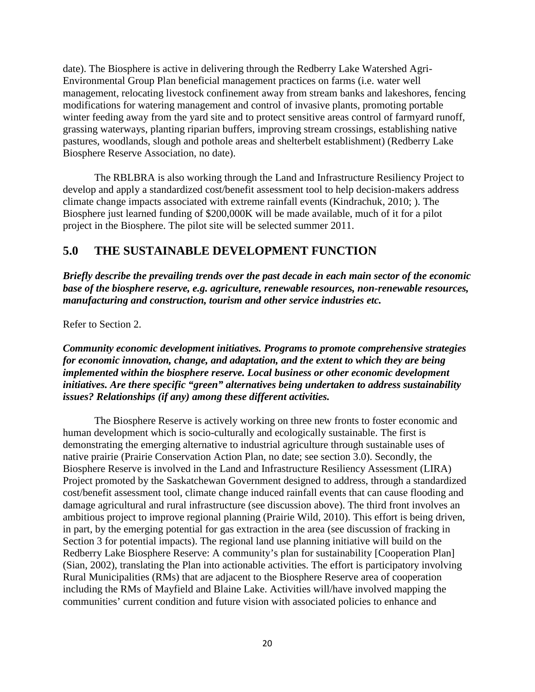date). The Biosphere is active in delivering through the Redberry Lake Watershed Agri-Environmental Group Plan beneficial management practices on farms (i.e. water well management, relocating livestock confinement away from stream banks and lakeshores, fencing modifications for watering management and control of invasive plants, promoting portable winter feeding away from the yard site and to protect sensitive areas control of farmyard runoff, grassing waterways, planting riparian buffers, improving stream crossings, establishing native pastures, woodlands, slough and pothole areas and shelterbelt establishment) (Redberry Lake Biosphere Reserve Association, no date).

The RBLBRA is also working through the Land and Infrastructure Resiliency Project to develop and apply a standardized cost/benefit assessment tool to help decision-makers address climate change impacts associated with extreme rainfall events (Kindrachuk, 2010; ). The Biosphere just learned funding of \$200,000K will be made available, much of it for a pilot project in the Biosphere. The pilot site will be selected summer 2011.

# **5.0 THE SUSTAINABLE DEVELOPMENT FUNCTION**

*Briefly describe the prevailing trends over the past decade in each main sector of the economic base of the biosphere reserve, e.g. agriculture, renewable resources, non-renewable resources, manufacturing and construction, tourism and other service industries etc.*

Refer to Section 2.

*Community economic development initiatives. Programs to promote comprehensive strategies for economic innovation, change, and adaptation, and the extent to which they are being implemented within the biosphere reserve. Local business or other economic development initiatives. Are there specific "green" alternatives being undertaken to address sustainability issues? Relationships (if any) among these different activities.* 

The Biosphere Reserve is actively working on three new fronts to foster economic and human development which is socio-culturally and ecologically sustainable. The first is demonstrating the emerging alternative to industrial agriculture through sustainable uses of native prairie (Prairie Conservation Action Plan, no date; see section 3.0). Secondly, the Biosphere Reserve is involved in the Land and Infrastructure Resiliency Assessment (LIRA) Project promoted by the Saskatchewan Government designed to address, through a standardized cost/benefit assessment tool, climate change induced rainfall events that can cause flooding and damage agricultural and rural infrastructure (see discussion above). The third front involves an ambitious project to improve regional planning (Prairie Wild, 2010). This effort is being driven, in part, by the emerging potential for gas extraction in the area (see discussion of fracking in Section 3 for potential impacts). The regional land use planning initiative will build on the Redberry Lake Biosphere Reserve: A community's plan for sustainability [Cooperation Plan] (Sian, 2002), translating the Plan into actionable activities. The effort is participatory involving Rural Municipalities (RMs) that are adjacent to the Biosphere Reserve area of cooperation including the RMs of Mayfield and Blaine Lake. Activities will/have involved mapping the communities' current condition and future vision with associated policies to enhance and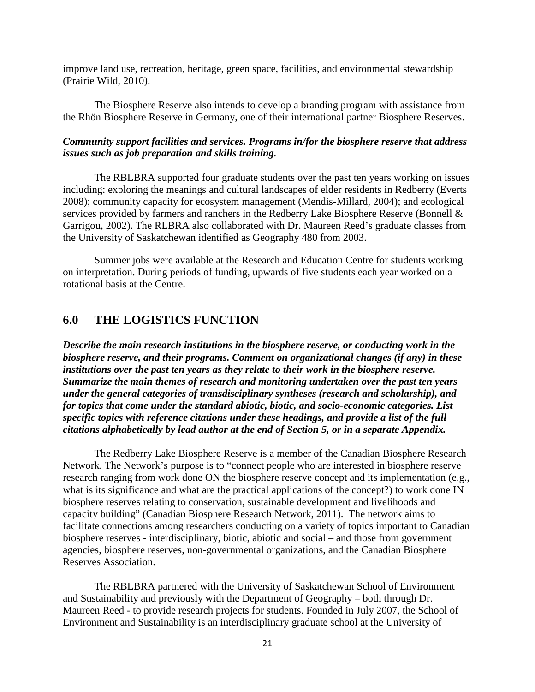improve land use, recreation, heritage, green space, facilities, and environmental stewardship (Prairie Wild, 2010).

The Biosphere Reserve also intends to develop a branding program with assistance from the Rhön Biosphere Reserve in Germany, one of their international partner Biosphere Reserves.

### *Community support facilities and services. Programs in/for the biosphere reserve that address issues such as job preparation and skills training.*

The RBLBRA supported four graduate students over the past ten years working on issues including: exploring the meanings and cultural landscapes of elder residents in Redberry (Everts 2008); community capacity for ecosystem management (Mendis-Millard, 2004); and ecological services provided by farmers and ranchers in the Redberry Lake Biosphere Reserve (Bonnell & Garrigou, 2002). The RLBRA also collaborated with Dr. Maureen Reed's graduate classes from the University of Saskatchewan identified as Geography 480 from 2003.

Summer jobs were available at the Research and Education Centre for students working on interpretation. During periods of funding, upwards of five students each year worked on a rotational basis at the Centre.

# **6.0 THE LOGISTICS FUNCTION**

*Describe the main research institutions in the biosphere reserve, or conducting work in the biosphere reserve, and their programs. Comment on organizational changes (if any) in these institutions over the past ten years as they relate to their work in the biosphere reserve. Summarize the main themes of research and monitoring undertaken over the past ten years under the general categories of transdisciplinary syntheses (research and scholarship), and for topics that come under the standard abiotic, biotic, and socio-economic categories. List specific topics with reference citations under these headings, and provide a list of the full citations alphabetically by lead author at the end of Section 5, or in a separate Appendix.* 

The Redberry Lake Biosphere Reserve is a member of the Canadian Biosphere Research Network. The Network's purpose is to "connect people who are interested in biosphere reserve research ranging from work done ON the biosphere reserve concept and its implementation (e.g., what is its significance and what are the practical applications of the concept?) to work done IN biosphere reserves relating to conservation, sustainable development and livelihoods and capacity building" (Canadian Biosphere Research Network, 2011). The network aims to facilitate connections among researchers conducting on a variety of topics important to Canadian biosphere reserves - interdisciplinary, biotic, abiotic and social – and those from government agencies, biosphere reserves, non-governmental organizations, and the Canadian Biosphere Reserves Association.

The RBLBRA partnered with the University of Saskatchewan School of Environment and Sustainability and previously with the Department of Geography – both through Dr. Maureen Reed - to provide research projects for students. Founded in July 2007, the School of Environment and Sustainability is an interdisciplinary graduate school at the University of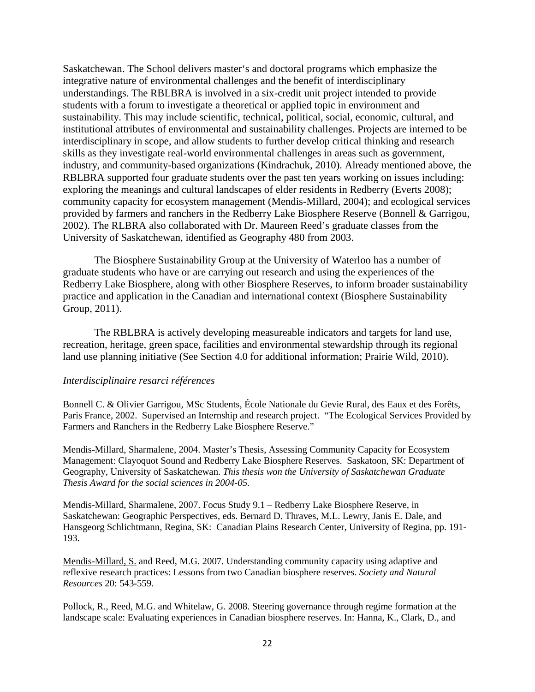Saskatchewan. The School delivers master's and doctoral programs which emphasize the integrative nature of environmental challenges and the benefit of interdisciplinary understandings. The RBLBRA is involved in a six-credit unit project intended to provide students with a forum to investigate a theoretical or applied topic in environment and sustainability. This may include scientific, technical, political, social, economic, cultural, and institutional attributes of environmental and sustainability challenges. Projects are interned to be interdisciplinary in scope, and allow students to further develop critical thinking and research skills as they investigate real-world environmental challenges in areas such as government, industry, and community-based organizations (Kindrachuk, 2010). Already mentioned above, the RBLBRA supported four graduate students over the past ten years working on issues including: exploring the meanings and cultural landscapes of elder residents in Redberry (Everts 2008); community capacity for ecosystem management (Mendis-Millard, 2004); and ecological services provided by farmers and ranchers in the Redberry Lake Biosphere Reserve (Bonnell & Garrigou, 2002). The RLBRA also collaborated with Dr. Maureen Reed's graduate classes from the University of Saskatchewan, identified as Geography 480 from 2003.

The Biosphere Sustainability Group at the University of Waterloo has a number of graduate students who have or are carrying out research and using the experiences of the Redberry Lake Biosphere, along with other Biosphere Reserves, to inform broader sustainability practice and application in the Canadian and international context (Biosphere Sustainability Group, 2011).

The RBLBRA is actively developing measureable indicators and targets for land use, recreation, heritage, green space, facilities and environmental stewardship through its regional land use planning initiative (See Section 4.0 for additional information; Prairie Wild, 2010).

#### *Interdisciplinaire resarci références*

Bonnell C. & Olivier Garrigou, MSc Students, École Nationale du Gevie Rural, des Eaux et des Forêts, Paris France, 2002. Supervised an Internship and research project. "The Ecological Services Provided by Farmers and Ranchers in the Redberry Lake Biosphere Reserve."

Mendis-Millard, Sharmalene, 2004. Master's Thesis, Assessing Community Capacity for Ecosystem Management: Clayoquot Sound and Redberry Lake Biosphere Reserves. Saskatoon, SK: Department of Geography, University of Saskatchewan. *This thesis won the University of Saskatchewan Graduate Thesis Award for the social sciences in 2004-05.*

Mendis-Millard, Sharmalene, 2007. Focus Study 9.1 – Redberry Lake Biosphere Reserve, in Saskatchewan: Geographic Perspectives, eds. Bernard D. Thraves, M.L. Lewry, Janis E. Dale, and Hansgeorg Schlichtmann, Regina, SK: Canadian Plains Research Center, University of Regina, pp. 191- 193.

Mendis-Millard, S. and Reed, M.G. 2007. Understanding community capacity using adaptive and reflexive research practices: Lessons from two Canadian biosphere reserves. *Society and Natural Resources* 20: 543-559.

Pollock, R., Reed, M.G. and Whitelaw, G. 2008. Steering governance through regime formation at the landscape scale: Evaluating experiences in Canadian biosphere reserves. In: Hanna, K., Clark, D., and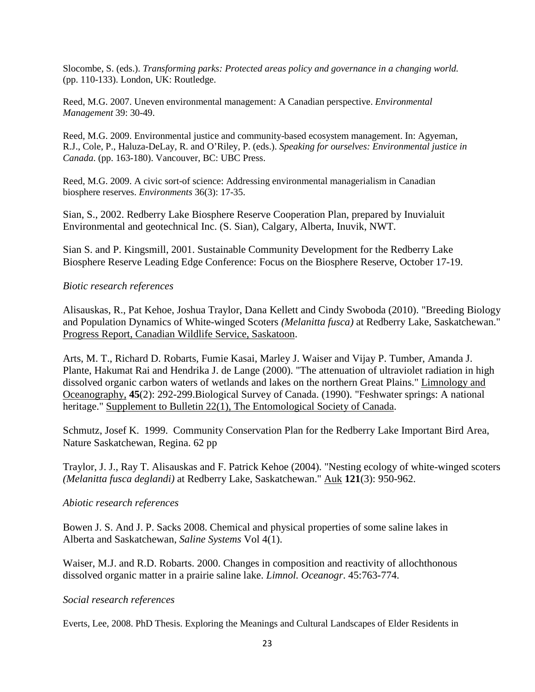Slocombe, S. (eds.). *Transforming parks: Protected areas policy and governance in a changing world.*  (pp. 110-133). London, UK: Routledge.

Reed, M.G. 2007. Uneven environmental management: A Canadian perspective. *Environmental Management* 39: 30-49.

Reed, M.G. 2009. Environmental justice and community-based ecosystem management. In: Agyeman, R.J., Cole, P., Haluza-DeLay, R. and O'Riley, P. (eds.). *Speaking for ourselves: Environmental justice in Canada*. (pp. 163-180). Vancouver, BC: UBC Press.

Reed, M.G. 2009. A civic sort-of science: Addressing environmental managerialism in Canadian biosphere reserves. *Environments* 36(3): 17-35.

Sian, S., 2002. Redberry Lake Biosphere Reserve Cooperation Plan, prepared by Inuvialuit Environmental and geotechnical Inc. (S. Sian), Calgary, Alberta, Inuvik, NWT.

Sian S. and P. Kingsmill, 2001. Sustainable Community Development for the Redberry Lake Biosphere Reserve Leading Edge Conference: Focus on the Biosphere Reserve, October 17-19.

### *Biotic research references*

Alisauskas, R., Pat Kehoe, Joshua Traylor, Dana Kellett and Cindy Swoboda (2010). "Breeding Biology and Population Dynamics of White-winged Scoters *(Melanitta fusca)* at Redberry Lake, Saskatchewan." Progress Report, Canadian Wildlife Service, Saskatoon.

Arts, M. T., Richard D. Robarts, Fumie Kasai, Marley J. Waiser and Vijay P. Tumber, Amanda J. Plante, Hakumat Rai and Hendrika J. de Lange (2000). "The attenuation of ultraviolet radiation in high dissolved organic carbon waters of wetlands and lakes on the northern Great Plains." Limnology and Oceanography, **45**(2): 292-299.Biological Survey of Canada. (1990). "Feshwater springs: A national heritage." Supplement to Bulletin 22(1), The Entomological Society of Canada.

Schmutz, Josef K. 1999. Community Conservation Plan for the Redberry Lake Important Bird Area, Nature Saskatchewan, Regina. 62 pp

Traylor, J. J., Ray T. Alisauskas and F. Patrick Kehoe (2004). "Nesting ecology of white-winged scoters *(Melanitta fusca deglandi)* at Redberry Lake, Saskatchewan." Auk **121**(3): 950-962.

#### *Abiotic research references*

Bowen J. S. And J. P. Sacks 2008. Chemical and physical properties of some saline lakes in Alberta and Saskatchewan, *Saline Systems* Vol 4(1).

Waiser, M.J. and R.D. Robarts. 2000. [Changes in composition and reactivity of allochthonous](http://www.jstor.org/pss/2670545)  [dissolved organic matter in a prairie saline lake.](http://www.jstor.org/pss/2670545) *Limnol. Oceanogr*. 45:763-774.

#### *Social research references*

Everts, Lee, 2008. PhD Thesis. Exploring the Meanings and Cultural Landscapes of Elder Residents in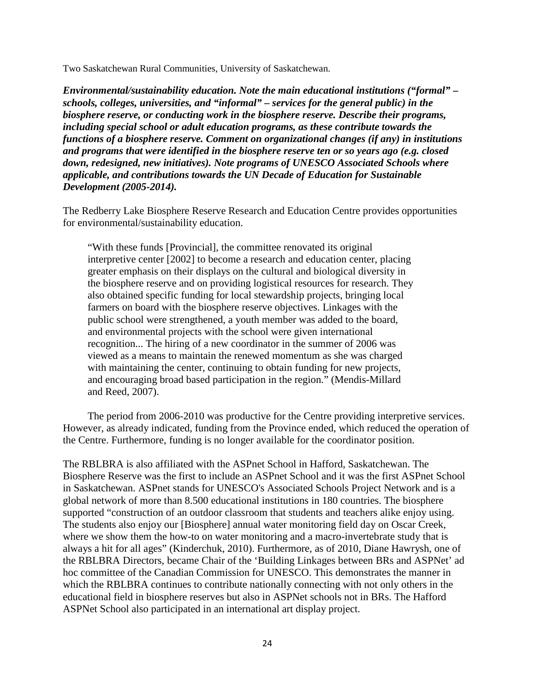Two Saskatchewan Rural Communities, University of Saskatchewan.

*Environmental/sustainability education. Note the main educational institutions ("formal" – schools, colleges, universities, and "informal" – services for the general public) in the biosphere reserve, or conducting work in the biosphere reserve. Describe their programs, including special school or adult education programs, as these contribute towards the functions of a biosphere reserve. Comment on organizational changes (if any) in institutions and programs that were identified in the biosphere reserve ten or so years ago (e.g. closed down, redesigned, new initiatives). Note programs of UNESCO Associated Schools where applicable, and contributions towards the UN Decade of Education for Sustainable Development (2005-2014).* 

The Redberry Lake Biosphere Reserve Research and Education Centre provides opportunities for environmental/sustainability education.

"With these funds [Provincial], the committee renovated its original interpretive center [2002] to become a research and education center, placing greater emphasis on their displays on the cultural and biological diversity in the biosphere reserve and on providing logistical resources for research. They also obtained specific funding for local stewardship projects, bringing local farmers on board with the biosphere reserve objectives. Linkages with the public school were strengthened, a youth member was added to the board, and environmental projects with the school were given international recognition... The hiring of a new coordinator in the summer of 2006 was viewed as a means to maintain the renewed momentum as she was charged with maintaining the center, continuing to obtain funding for new projects, and encouraging broad based participation in the region." (Mendis-Millard and Reed, 2007).

The period from 2006-2010 was productive for the Centre providing interpretive services. However, as already indicated, funding from the Province ended, which reduced the operation of the Centre. Furthermore, funding is no longer available for the coordinator position.

The RBLBRA is also affiliated with the ASPnet School in Hafford, Saskatchewan. The Biosphere Reserve was the first to include an ASPnet School and it was the first ASPnet School in Saskatchewan. ASPnet stands for UNESCO's Associated Schools Project Network and is a global network of more than 8.500 educational institutions in 180 countries. The biosphere supported "construction of an outdoor classroom that students and teachers alike enjoy using. The students also enjoy our [Biosphere] annual water monitoring field day on Oscar Creek, where we show them the how-to on water monitoring and a macro-invertebrate study that is always a hit for all ages" (Kinderchuk, 2010). Furthermore, as of 2010, Diane Hawrysh, one of the RBLBRA Directors, became Chair of the 'Building Linkages between BRs and ASPNet' ad hoc committee of the Canadian Commission for UNESCO. This demonstrates the manner in which the RBLBRA continues to contribute nationally connecting with not only others in the educational field in biosphere reserves but also in ASPNet schools not in BRs. The Hafford ASPNet School also participated in an international art display project.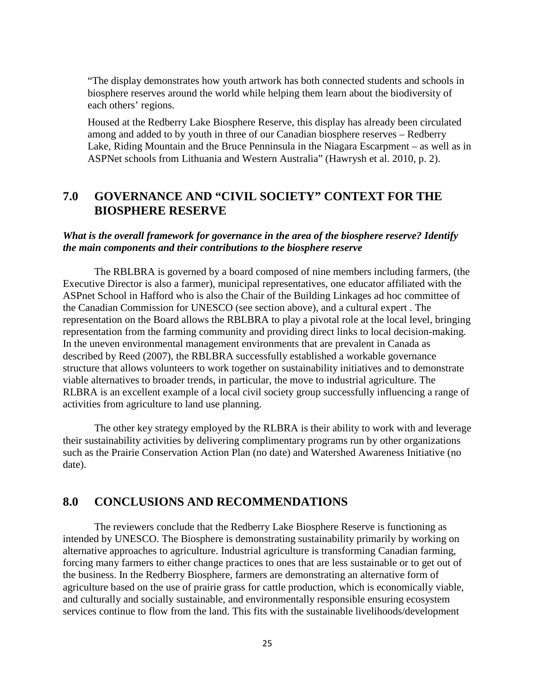"The display demonstrates how youth artwork has both connected students and schools in biosphere reserves around the world while helping them learn about the biodiversity of each others' regions.

Housed at the Redberry Lake Biosphere Reserve, this display has already been circulated among and added to by youth in three of our Canadian biosphere reserves – Redberry Lake, Riding Mountain and the Bruce Penninsula in the Niagara Escarpment – as well as in ASPNet schools from Lithuania and Western Australia" (Hawrysh et al. 2010, p. 2).

# **7.0 GOVERNANCE AND "CIVIL SOCIETY" CONTEXT FOR THE BIOSPHERE RESERVE**

#### *What is the overall framework for governance in the area of the biosphere reserve? Identify the main components and their contributions to the biosphere reserve*

The RBLBRA is governed by a board composed of nine members including farmers, (the Executive Director is also a farmer), municipal representatives, one educator affiliated with the ASPnet School in Hafford who is also the Chair of the Building Linkages ad hoc committee of the Canadian Commission for UNESCO (see section above), and a cultural expert . The representation on the Board allows the RBLBRA to play a pivotal role at the local level, bringing representation from the farming community and providing direct links to local decision-making. In the uneven environmental management environments that are prevalent in Canada as described by Reed (2007), the RBLBRA successfully established a workable governance structure that allows volunteers to work together on sustainability initiatives and to demonstrate viable alternatives to broader trends, in particular, the move to industrial agriculture. The RLBRA is an excellent example of a local civil society group successfully influencing a range of activities from agriculture to land use planning.

The other key strategy employed by the RLBRA is their ability to work with and leverage their sustainability activities by delivering complimentary programs run by other organizations such as the Prairie Conservation Action Plan (no date) and Watershed Awareness Initiative (no date).

# **8.0 CONCLUSIONS AND RECOMMENDATIONS**

The reviewers conclude that the Redberry Lake Biosphere Reserve is functioning as intended by UNESCO. The Biosphere is demonstrating sustainability primarily by working on alternative approaches to agriculture. Industrial agriculture is transforming Canadian farming, forcing many farmers to either change practices to ones that are less sustainable or to get out of the business. In the Redberry Biosphere, farmers are demonstrating an alternative form of agriculture based on the use of prairie grass for cattle production, which is economically viable, and culturally and socially sustainable, and environmentally responsible ensuring ecosystem services continue to flow from the land. This fits with the sustainable livelihoods/development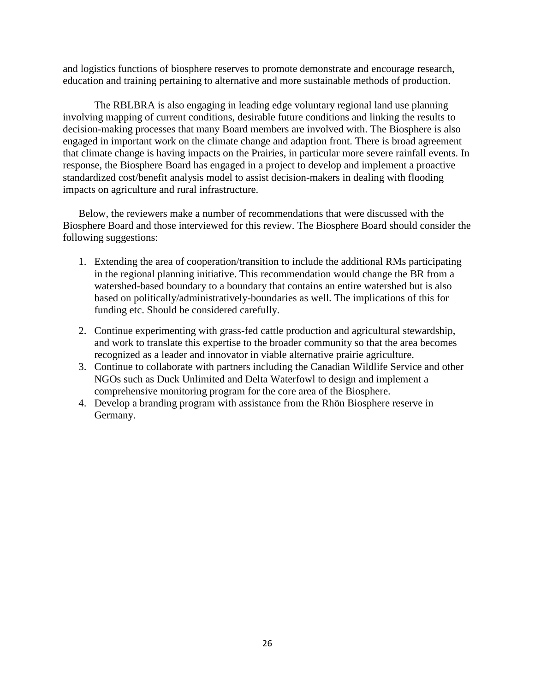and logistics functions of biosphere reserves to promote demonstrate and encourage research, education and training pertaining to alternative and more sustainable methods of production.

The RBLBRA is also engaging in leading edge voluntary regional land use planning involving mapping of current conditions, desirable future conditions and linking the results to decision-making processes that many Board members are involved with. The Biosphere is also engaged in important work on the climate change and adaption front. There is broad agreement that climate change is having impacts on the Prairies, in particular more severe rainfall events. In response, the Biosphere Board has engaged in a project to develop and implement a proactive standardized cost/benefit analysis model to assist decision-makers in dealing with flooding impacts on agriculture and rural infrastructure.

Below, the reviewers make a number of recommendations that were discussed with the Biosphere Board and those interviewed for this review. The Biosphere Board should consider the following suggestions:

- 1. Extending the area of cooperation/transition to include the additional RMs participating in the regional planning initiative. This recommendation would change the BR from a watershed-based boundary to a boundary that contains an entire watershed but is also based on politically/administratively-boundaries as well. The implications of this for funding etc. Should be considered carefully.
- 2. Continue experimenting with grass-fed cattle production and agricultural stewardship, and work to translate this expertise to the broader community so that the area becomes recognized as a leader and innovator in viable alternative prairie agriculture.
- 3. Continue to collaborate with partners including the Canadian Wildlife Service and other NGOs such as Duck Unlimited and Delta Waterfowl to design and implement a comprehensive monitoring program for the core area of the Biosphere.
- 4. Develop a branding program with assistance from the Rhön Biosphere reserve in Germany.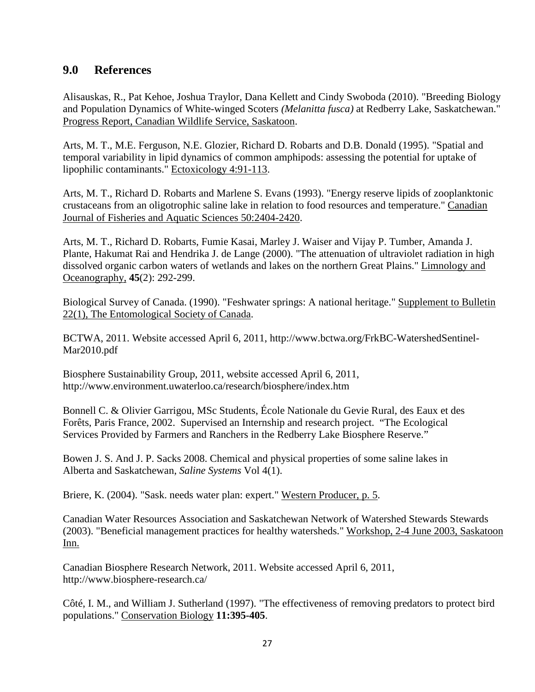# **9.0 References**

Alisauskas, R., Pat Kehoe, Joshua Traylor, Dana Kellett and Cindy Swoboda (2010). "Breeding Biology and Population Dynamics of White-winged Scoters *(Melanitta fusca)* at Redberry Lake, Saskatchewan." Progress Report, Canadian Wildlife Service, Saskatoon.

Arts, M. T., M.E. Ferguson, N.E. Glozier, Richard D. Robarts and D.B. Donald (1995). "Spatial and temporal variability in lipid dynamics of common amphipods: assessing the potential for uptake of lipophilic contaminants." Ectoxicology 4:91-113.

Arts, M. T., Richard D. Robarts and Marlene S. Evans (1993). "Energy reserve lipids of zooplanktonic crustaceans from an oligotrophic saline lake in relation to food resources and temperature." Canadian Journal of Fisheries and Aquatic Sciences 50:2404-2420.

Arts, M. T., Richard D. Robarts, Fumie Kasai, Marley J. Waiser and Vijay P. Tumber, Amanda J. Plante, Hakumat Rai and Hendrika J. de Lange (2000). "The attenuation of ultraviolet radiation in high dissolved organic carbon waters of wetlands and lakes on the northern Great Plains." Limnology and Oceanography, **45**(2): 292-299.

Biological Survey of Canada. (1990). "Feshwater springs: A national heritage." Supplement to Bulletin 22(1), The Entomological Society of Canada.

BCTWA, 2011. Website accessed April 6, 2011, [http://www.bctwa.org/FrkBC-WatershedSentinel-](http://www.bctwa.org/FrkBC-WatershedSentinel-Mar2010.pdf)[Mar2010.pdf](http://www.bctwa.org/FrkBC-WatershedSentinel-Mar2010.pdf)

Biosphere Sustainability Group, 2011, website accessed April 6, 2011, http://www.environment.uwaterloo.ca/research/biosphere/index.htm

Bonnell C. & Olivier Garrigou, MSc Students, École Nationale du Gevie Rural, des Eaux et des Forêts, Paris France, 2002. Supervised an Internship and research project. "The Ecological Services Provided by Farmers and Ranchers in the Redberry Lake Biosphere Reserve."

Bowen J. S. And J. P. Sacks 2008. Chemical and physical properties of some saline lakes in Alberta and Saskatchewan, *Saline Systems* Vol 4(1).

Briere, K. (2004). "Sask. needs water plan: expert." Western Producer, p. 5.

Canadian Water Resources Association and Saskatchewan Network of Watershed Stewards Stewards (2003). "Beneficial management practices for healthy watersheds." Workshop, 2-4 June 2003, Saskatoon Inn.

Canadian Biosphere Research Network, 2011. Website accessed April 6, 2011, http://www.biosphere-research.ca/

Côté, I. M., and William J. Sutherland (1997). "The effectiveness of removing predators to protect bird populations." Conservation Biology **11:395-405**.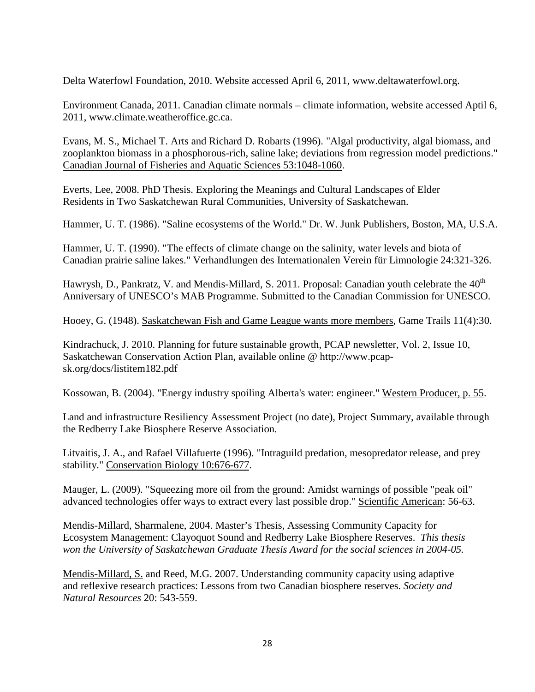Delta Waterfowl Foundation, 2010. Website accessed April 6, 2011, www.deltawaterfowl.org.

Environment Canada, 2011. Canadian climate normals – climate information, website accessed Aptil 6, 2011, www.climate.weatheroffice.gc.ca.

Evans, M. S., Michael T. Arts and Richard D. Robarts (1996). "Algal productivity, algal biomass, and zooplankton biomass in a phosphorous-rich, saline lake; deviations from regression model predictions." Canadian Journal of Fisheries and Aquatic Sciences 53:1048-1060.

Everts, Lee, 2008. PhD Thesis. Exploring the Meanings and Cultural Landscapes of Elder Residents in Two Saskatchewan Rural Communities, University of Saskatchewan.

Hammer, U. T. (1986). "Saline ecosystems of the World." Dr. W. Junk Publishers, Boston, MA, U.S.A.

Hammer, U. T. (1990). "The effects of climate change on the salinity, water levels and biota of Canadian prairie saline lakes." Verhandlungen des Internationalen Verein für Limnologie 24:321-326.

Hawrysh, D., Pankratz, V. and Mendis-Millard, S. 2011. Proposal: Canadian youth celebrate the 40<sup>th</sup> Anniversary of UNESCO's MAB Programme. Submitted to the Canadian Commission for UNESCO.

Hooey, G. (1948). Saskatchewan Fish and Game League wants more members, Game Trails 11(4):30.

Kindrachuck, J. 2010. Planning for future sustainable growth, PCAP newsletter, Vol. 2, Issue 10, Saskatchewan Conservation Action Plan, available online @ http://www.pcapsk.org/docs/listitem182.pdf

Kossowan, B. (2004). "Energy industry spoiling Alberta's water: engineer." Western Producer, p. 55.

Land and infrastructure Resiliency Assessment Project (no date), Project Summary, available through the Redberry Lake Biosphere Reserve Association*.*

Litvaitis, J. A., and Rafael Villafuerte (1996). "Intraguild predation, mesopredator release, and prey stability." Conservation Biology 10:676-677.

Mauger, L. (2009). "Squeezing more oil from the ground: Amidst warnings of possible "peak oil" advanced technologies offer ways to extract every last possible drop." Scientific American: 56-63.

Mendis-Millard, Sharmalene, 2004. Master's Thesis, Assessing Community Capacity for Ecosystem Management: Clayoquot Sound and Redberry Lake Biosphere Reserves. *This thesis won the University of Saskatchewan Graduate Thesis Award for the social sciences in 2004-05.*

Mendis-Millard, S. and Reed, M.G. 2007. Understanding community capacity using adaptive and reflexive research practices: Lessons from two Canadian biosphere reserves. *Society and Natural Resources* 20: 543-559.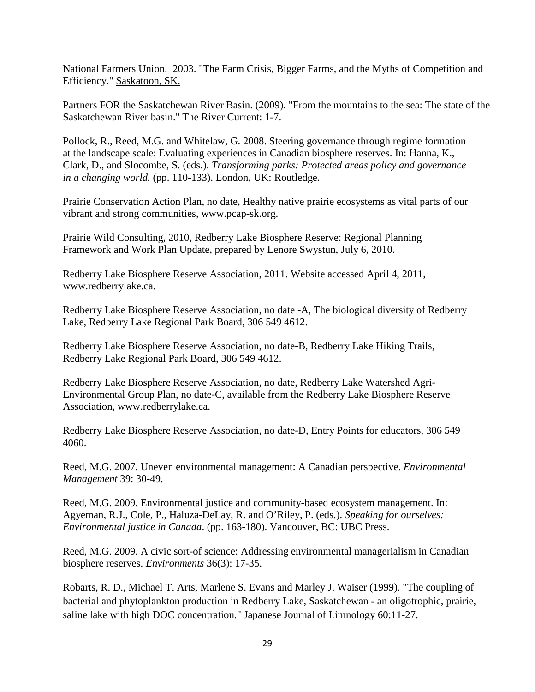National Farmers Union. 2003. "The Farm Crisis, Bigger Farms, and the Myths of Competition and Efficiency." Saskatoon, SK.

Partners FOR the Saskatchewan River Basin. (2009). "From the mountains to the sea: The state of the Saskatchewan River basin." The River Current: 1-7.

Pollock, R., Reed, M.G. and Whitelaw, G. 2008. Steering governance through regime formation at the landscape scale: Evaluating experiences in Canadian biosphere reserves. In: Hanna, K., Clark, D., and Slocombe, S. (eds.). *Transforming parks: Protected areas policy and governance in a changing world.* (pp. 110-133). London, UK: Routledge.

Prairie Conservation Action Plan, no date, Healthy native prairie ecosystems as vital parts of our vibrant and strong communities, www.pcap-sk.org.

Prairie Wild Consulting, 2010, Redberry Lake Biosphere Reserve: Regional Planning Framework and Work Plan Update, prepared by Lenore Swystun, July 6, 2010.

Redberry Lake Biosphere Reserve Association, 2011. Website accessed April 4, 2011, www.redberrylake.ca.

Redberry Lake Biosphere Reserve Association, no date -A, The biological diversity of Redberry Lake, Redberry Lake Regional Park Board, 306 549 4612.

Redberry Lake Biosphere Reserve Association, no date-B, Redberry Lake Hiking Trails, Redberry Lake Regional Park Board, 306 549 4612.

Redberry Lake Biosphere Reserve Association, no date, Redberry Lake Watershed Agri-Environmental Group Plan, no date-C, available from the Redberry Lake Biosphere Reserve Association, www.redberrylake.ca.

Redberry Lake Biosphere Reserve Association, no date-D, Entry Points for educators, 306 549 4060.

Reed, M.G. 2007. Uneven environmental management: A Canadian perspective. *Environmental Management* 39: 30-49.

Reed, M.G. 2009. Environmental justice and community-based ecosystem management. In: Agyeman, R.J., Cole, P., Haluza-DeLay, R. and O'Riley, P. (eds.). *Speaking for ourselves: Environmental justice in Canada*. (pp. 163-180). Vancouver, BC: UBC Press.

Reed, M.G. 2009. A civic sort-of science: Addressing environmental managerialism in Canadian biosphere reserves. *Environments* 36(3): 17-35.

Robarts, R. D., Michael T. Arts, Marlene S. Evans and Marley J. Waiser (1999). "The coupling of bacterial and phytoplankton production in Redberry Lake, Saskatchewan - an oligotrophic, prairie, saline lake with high DOC concentration." Japanese Journal of Limnology 60:11-27.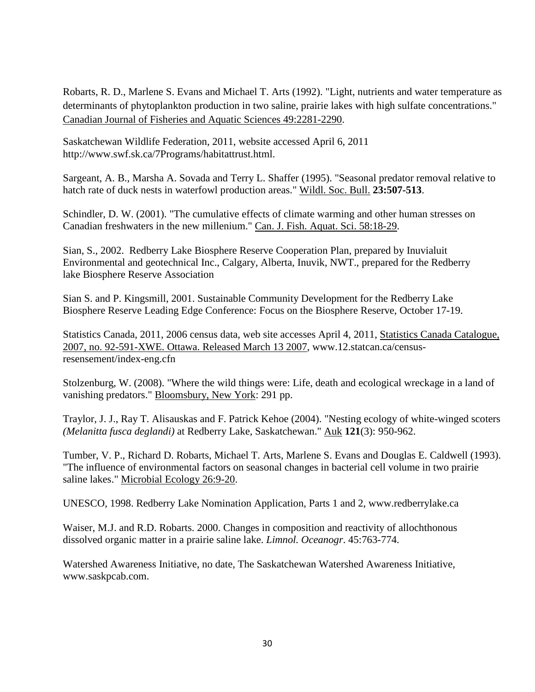Robarts, R. D., Marlene S. Evans and Michael T. Arts (1992). "Light, nutrients and water temperature as determinants of phytoplankton production in two saline, prairie lakes with high sulfate concentrations." Canadian Journal of Fisheries and Aquatic Sciences 49:2281-2290.

Saskatchewan Wildlife Federation, 2011, website accessed April 6, 2011 http://www.swf.sk.ca/7Programs/habitattrust.html.

Sargeant, A. B., Marsha A. Sovada and Terry L. Shaffer (1995). "Seasonal predator removal relative to hatch rate of duck nests in waterfowl production areas." Wildl. Soc. Bull. **23:507-513**.

Schindler, D. W. (2001). "The cumulative effects of climate warming and other human stresses on Canadian freshwaters in the new millenium." Can. J. Fish. Aquat. Sci. 58:18-29.

Sian, S., 2002. Redberry Lake Biosphere Reserve Cooperation Plan, prepared by Inuvialuit Environmental and geotechnical Inc., Calgary, Alberta, Inuvik, NWT., prepared for the Redberry lake Biosphere Reserve Association

Sian S. and P. Kingsmill, 2001. Sustainable Community Development for the Redberry Lake Biosphere Reserve Leading Edge Conference: Focus on the Biosphere Reserve, October 17-19.

Statistics Canada, 2011, 2006 census data, web site accesses April 4, 2011, [Statistics Canada Catalogue,](http://www12.statcan.ca/census-recensement/2006/dp-pd/prof/92-591/index.cfm?Lang=E)  [2007, no. 92-591-XWE. Ottawa. Released March 13 2007,](http://www12.statcan.ca/census-recensement/2006/dp-pd/prof/92-591/index.cfm?Lang=E) www.12.statcan.ca/censusresensement/index-eng.cfn

Stolzenburg, W. (2008). "Where the wild things were: Life, death and ecological wreckage in a land of vanishing predators." Bloomsbury, New York: 291 pp.

Traylor, J. J., Ray T. Alisauskas and F. Patrick Kehoe (2004). "Nesting ecology of white-winged scoters *(Melanitta fusca deglandi)* at Redberry Lake, Saskatchewan." Auk **121**(3): 950-962.

Tumber, V. P., Richard D. Robarts, Michael T. Arts, Marlene S. Evans and Douglas E. Caldwell (1993). "The influence of environmental factors on seasonal changes in bacterial cell volume in two prairie saline lakes." Microbial Ecology 26:9-20.

UNESCO, 1998. Redberry Lake Nomination Application, Parts 1 and 2, www.redberrylake.ca

Waiser, M.J. and R.D. Robarts. 2000. [Changes in composition and reactivity of allochthonous](http://www.jstor.org/pss/2670545)  [dissolved organic matter in a prairie saline lake.](http://www.jstor.org/pss/2670545) *Limnol. Oceanogr*. 45:763-774.

Watershed Awareness Initiative, no date, The Saskatchewan Watershed Awareness Initiative, www.saskpcab.com.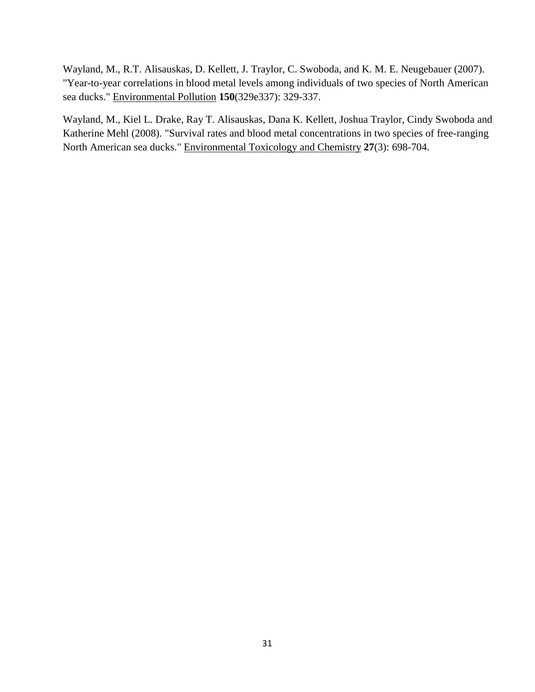Wayland, M., R.T. Alisauskas, D. Kellett, J. Traylor, C. Swoboda, and K. M. E. Neugebauer (2007). "Year-to-year correlations in blood metal levels among individuals of two species of North American sea ducks." Environmental Pollution **150**(329e337): 329-337.

Wayland, M., Kiel L. Drake, Ray T. Alisauskas, Dana K. Kellett, Joshua Traylor, Cindy Swoboda and Katherine Mehl (2008). "Survival rates and blood metal concentrations in two species of free-ranging North American sea ducks." Environmental Toxicology and Chemistry **27**(3): 698-704.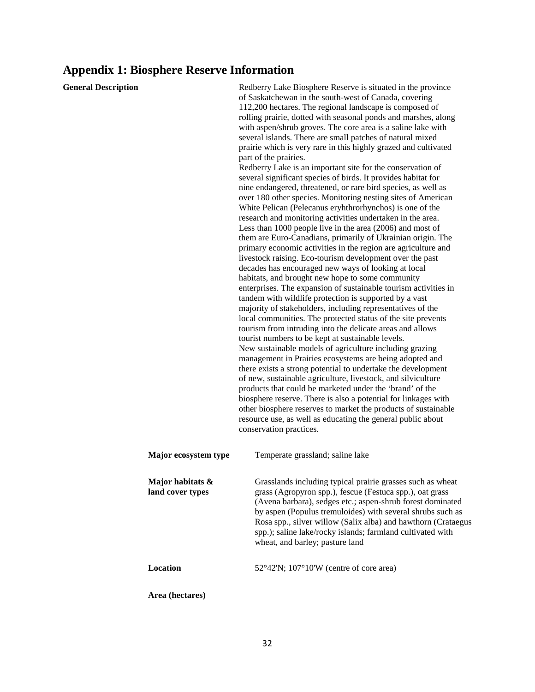# **Appendix 1: Biosphere Reserve Information**

| <b>General Description</b> |                                      | Redberry Lake Biosphere Reserve is situated in the province<br>of Saskatchewan in the south-west of Canada, covering<br>112,200 hectares. The regional landscape is composed of<br>rolling prairie, dotted with seasonal ponds and marshes, along<br>with aspen/shrub groves. The core area is a saline lake with<br>several islands. There are small patches of natural mixed<br>prairie which is very rare in this highly grazed and cultivated<br>part of the prairies.<br>Redberry Lake is an important site for the conservation of<br>several significant species of birds. It provides habitat for<br>nine endangered, threatened, or rare bird species, as well as<br>over 180 other species. Monitoring nesting sites of American<br>White Pelican (Pelecanus eryhthrorhynchos) is one of the<br>research and monitoring activities undertaken in the area.<br>Less than 1000 people live in the area (2006) and most of<br>them are Euro-Canadians, primarily of Ukrainian origin. The<br>primary economic activities in the region are agriculture and<br>livestock raising. Eco-tourism development over the past<br>decades has encouraged new ways of looking at local<br>habitats, and brought new hope to some community<br>enterprises. The expansion of sustainable tourism activities in<br>tandem with wildlife protection is supported by a vast<br>majority of stakeholders, including representatives of the<br>local communities. The protected status of the site prevents<br>tourism from intruding into the delicate areas and allows<br>tourist numbers to be kept at sustainable levels.<br>New sustainable models of agriculture including grazing<br>management in Prairies ecosystems are being adopted and<br>there exists a strong potential to undertake the development<br>of new, sustainable agriculture, livestock, and silviculture<br>products that could be marketed under the 'brand' of the<br>biosphere reserve. There is also a potential for linkages with<br>other biosphere reserves to market the products of sustainable<br>resource use, as well as educating the general public about<br>conservation practices. |
|----------------------------|--------------------------------------|-----------------------------------------------------------------------------------------------------------------------------------------------------------------------------------------------------------------------------------------------------------------------------------------------------------------------------------------------------------------------------------------------------------------------------------------------------------------------------------------------------------------------------------------------------------------------------------------------------------------------------------------------------------------------------------------------------------------------------------------------------------------------------------------------------------------------------------------------------------------------------------------------------------------------------------------------------------------------------------------------------------------------------------------------------------------------------------------------------------------------------------------------------------------------------------------------------------------------------------------------------------------------------------------------------------------------------------------------------------------------------------------------------------------------------------------------------------------------------------------------------------------------------------------------------------------------------------------------------------------------------------------------------------------------------------------------------------------------------------------------------------------------------------------------------------------------------------------------------------------------------------------------------------------------------------------------------------------------------------------------------------------------------------------------------------------------------------------------------------------------------------------------------------------------|
|                            | Major ecosystem type                 | Temperate grassland; saline lake                                                                                                                                                                                                                                                                                                                                                                                                                                                                                                                                                                                                                                                                                                                                                                                                                                                                                                                                                                                                                                                                                                                                                                                                                                                                                                                                                                                                                                                                                                                                                                                                                                                                                                                                                                                                                                                                                                                                                                                                                                                                                                                                      |
|                            | Major habitats &<br>land cover types | Grasslands including typical prairie grasses such as wheat<br>grass (Agropyron spp.), fescue (Festuca spp.), oat grass<br>(Avena barbara), sedges etc.; aspen-shrub forest dominated<br>by aspen (Populus tremuloides) with several shrubs such as<br>Rosa spp., silver willow (Salix alba) and hawthorn (Crataegus<br>spp.); saline lake/rocky islands; farmland cultivated with<br>wheat, and barley; pasture land                                                                                                                                                                                                                                                                                                                                                                                                                                                                                                                                                                                                                                                                                                                                                                                                                                                                                                                                                                                                                                                                                                                                                                                                                                                                                                                                                                                                                                                                                                                                                                                                                                                                                                                                                  |
|                            | Location                             | $52^{\circ}42'$ N; $107^{\circ}10'$ W (centre of core area)                                                                                                                                                                                                                                                                                                                                                                                                                                                                                                                                                                                                                                                                                                                                                                                                                                                                                                                                                                                                                                                                                                                                                                                                                                                                                                                                                                                                                                                                                                                                                                                                                                                                                                                                                                                                                                                                                                                                                                                                                                                                                                           |
|                            | Area (hectares)                      |                                                                                                                                                                                                                                                                                                                                                                                                                                                                                                                                                                                                                                                                                                                                                                                                                                                                                                                                                                                                                                                                                                                                                                                                                                                                                                                                                                                                                                                                                                                                                                                                                                                                                                                                                                                                                                                                                                                                                                                                                                                                                                                                                                       |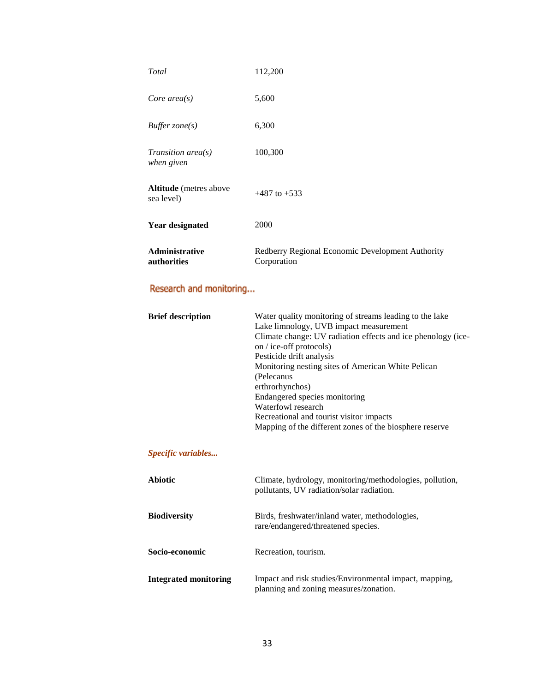| Total                                       | 112,200                                                         |
|---------------------------------------------|-----------------------------------------------------------------|
| Core $area(s)$                              | 5,600                                                           |
| Buffer $zone(s)$                            | 6,300                                                           |
| Transition area $(s)$<br>when given         | 100,300                                                         |
| <b>Altitude</b> (metres above<br>sea level) | $+487$ to $+533$                                                |
| <b>Year designated</b>                      | 2000                                                            |
| <b>Administrative</b><br>authorities        | Redberry Regional Economic Development Authority<br>Corporation |

# Research and monitoring...

| <b>Brief description</b>     | Water quality monitoring of streams leading to the lake<br>Lake limnology, UVB impact measurement<br>Climate change: UV radiation effects and ice phenology (ice-<br>on / ice-off protocols)<br>Pesticide drift analysis<br>Monitoring nesting sites of American White Pelican<br>(Pelecanus<br>erthrorhynchos)<br>Endangered species monitoring<br>Waterfowl research<br>Recreational and tourist visitor impacts<br>Mapping of the different zones of the biosphere reserve |  |  |  |  |
|------------------------------|-------------------------------------------------------------------------------------------------------------------------------------------------------------------------------------------------------------------------------------------------------------------------------------------------------------------------------------------------------------------------------------------------------------------------------------------------------------------------------|--|--|--|--|
| Specific variables           |                                                                                                                                                                                                                                                                                                                                                                                                                                                                               |  |  |  |  |
| <b>Abiotic</b>               | Climate, hydrology, monitoring/methodologies, pollution,<br>pollutants, UV radiation/solar radiation.                                                                                                                                                                                                                                                                                                                                                                         |  |  |  |  |
| <b>Biodiversity</b>          | Birds, freshwater/inland water, methodologies,<br>rare/endangered/threatened species.                                                                                                                                                                                                                                                                                                                                                                                         |  |  |  |  |
| Socio-economic               | Recreation, tourism.                                                                                                                                                                                                                                                                                                                                                                                                                                                          |  |  |  |  |
| <b>Integrated monitoring</b> | Impact and risk studies/Environmental impact, mapping,<br>planning and zoning measures/zonation.                                                                                                                                                                                                                                                                                                                                                                              |  |  |  |  |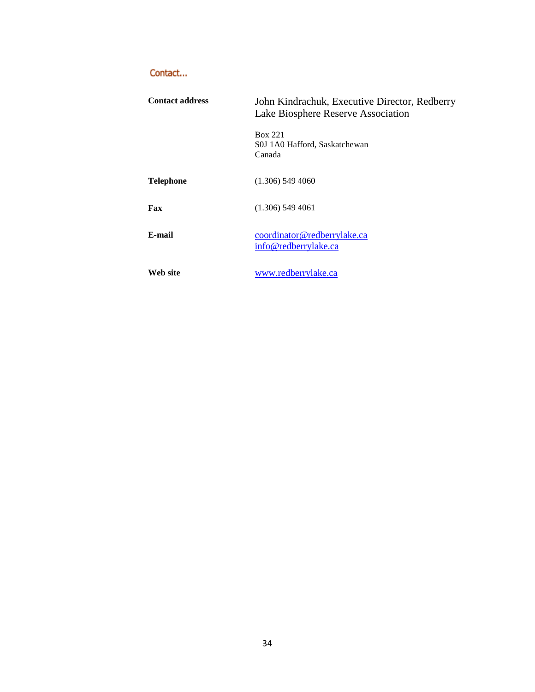# Contact...

| <b>Contact address</b> | John Kindrachuk, Executive Director, Redberry<br>Lake Biosphere Reserve Association |  |  |  |
|------------------------|-------------------------------------------------------------------------------------|--|--|--|
|                        | Box 221<br>S0J 1A0 Hafford, Saskatchewan<br>Canada                                  |  |  |  |
| <b>Telephone</b>       | $(1.306)$ 549 4060                                                                  |  |  |  |
| Fax                    | $(1.306)$ 549 4061                                                                  |  |  |  |
| E-mail                 | coordinator@redberrylake.ca<br>info@redberrylake.ca                                 |  |  |  |
| Web site               | www.redberrylake.ca                                                                 |  |  |  |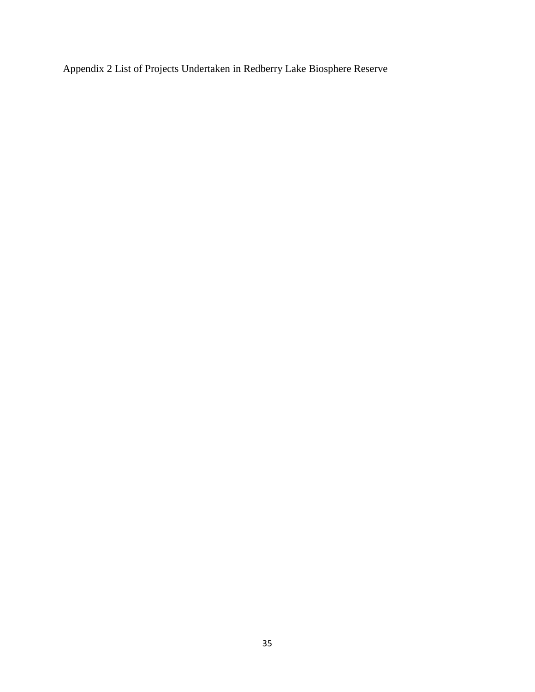Appendix 2 List of Projects Undertaken in Redberry Lake Biosphere Reserve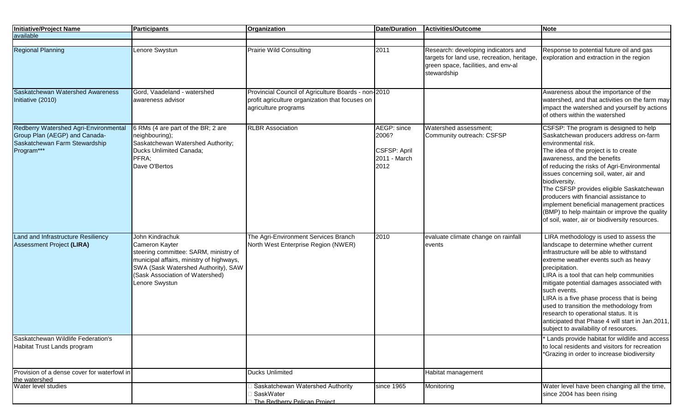| <b>Initiative/Proiect Name</b>                                                                                        | Participants                                                                                                                                                                                                       | <b>Organization</b>                                                                                                            | <b>Date/Duration</b>                                                | Activities/Outcome                                                                                                                       | <b>Note</b>                                                                                                                                                                                                                                                                                                                                                                                                                                                                                                                     |
|-----------------------------------------------------------------------------------------------------------------------|--------------------------------------------------------------------------------------------------------------------------------------------------------------------------------------------------------------------|--------------------------------------------------------------------------------------------------------------------------------|---------------------------------------------------------------------|------------------------------------------------------------------------------------------------------------------------------------------|---------------------------------------------------------------------------------------------------------------------------------------------------------------------------------------------------------------------------------------------------------------------------------------------------------------------------------------------------------------------------------------------------------------------------------------------------------------------------------------------------------------------------------|
| available                                                                                                             |                                                                                                                                                                                                                    |                                                                                                                                |                                                                     |                                                                                                                                          |                                                                                                                                                                                                                                                                                                                                                                                                                                                                                                                                 |
| <b>Regional Planning</b>                                                                                              | Lenore Swystun                                                                                                                                                                                                     | <b>Prairie Wild Consulting</b>                                                                                                 | 2011                                                                | Research: developing indicators and<br>targets for land use, recreation, heritage,<br>green space, facilities, and env-al<br>stewardship | Response to potential future oil and gas<br>exploration and extraction in the region                                                                                                                                                                                                                                                                                                                                                                                                                                            |
| Saskatchewan Watershed Awareness<br>Initiative (2010)                                                                 | Gord, Vaadeland - watershed<br>awareness advisor                                                                                                                                                                   | Provincial Council of Agriculture Boards - non-2010<br>profit agriculture organization that focuses on<br>agriculture programs |                                                                     |                                                                                                                                          | Awareness about the importance of the<br>watershed, and that activities on the farm may<br>impact the watershed and yourself by actions<br>of others within the watershed                                                                                                                                                                                                                                                                                                                                                       |
| Redberry Watershed Agri-Environmental<br>Group Plan (AEGP) and Canada-<br>Saskatchewan Farm Stewardship<br>Program*** | 6 RMs (4 are part of the BR; 2 are<br>neighbouring);<br>Saskatchewan Watershed Authority;<br>Ducks Unlimited Canada;<br>PFRA;<br>Dave O'Bertos                                                                     | <b>RLBR</b> Association                                                                                                        | AEGP: since<br>2006?<br><b>CSFSP: April</b><br>2011 - March<br>2012 | Watershed assessment;<br>Community outreach: CSFSP                                                                                       | CSFSP: The program is designed to help<br>Saskatchewan producers address on-farm<br>environmental risk.<br>The idea of the project is to create<br>awareness, and the benefits<br>of reducing the risks of Agri-Environmental<br>issues concerning soil, water, air and<br>biodiversity.<br>The CSFSP provides eligible Saskatchewan<br>producers with financial assistance to<br>implement beneficial management practices<br>(BMP) to help maintain or improve the quality<br>of soil, water, air or biodiversity resources.  |
| Land and Infrastructure Resiliency<br><b>Assessment Project (LIRA)</b>                                                | John Kindrachuk<br>Cameron Kayter<br>steering committee: SARM, ministry of<br>municipal affairs, ministry of highways,<br>SWA (Sask Watershed Authority), SAW<br>(Sask Association of Watershed)<br>Lenore Swystun | The Agri-Environment Services Branch<br>North West Enterprise Region (NWER)                                                    | 2010                                                                | evaluate climate change on rainfall<br>events                                                                                            | LIRA methodology is used to assess the<br>landscape to determine whether current<br>infrastructure will be able to withstand<br>extreme weather events such as heavy<br>precipitation.<br>LIRA is a tool that can help communities<br>mitigate potential damages associated with<br>such events.<br>LIRA is a five phase process that is being<br>used to transition the methodology from<br>research to operational status. It is<br>anticipated that Phase 4 will start in Jan.2011,<br>subject to availability of resources. |
| Saskatchewan Wildlife Federation's<br>Habitat Trust Lands program                                                     |                                                                                                                                                                                                                    |                                                                                                                                |                                                                     |                                                                                                                                          | Lands provide habitat for wildlife and access<br>to local residents and visitors for recreation<br>*Grazing in order to increase biodiversity                                                                                                                                                                                                                                                                                                                                                                                   |
| Provision of a dense cover for waterfowl in                                                                           |                                                                                                                                                                                                                    | <b>Ducks Unlimited</b>                                                                                                         |                                                                     | Habitat management                                                                                                                       |                                                                                                                                                                                                                                                                                                                                                                                                                                                                                                                                 |
| the watershed<br>Water level studies                                                                                  |                                                                                                                                                                                                                    | Saskatchewan Watershed Authority                                                                                               | since 1965                                                          | Monitoring                                                                                                                               | Water level have been changing all the time,                                                                                                                                                                                                                                                                                                                                                                                                                                                                                    |
|                                                                                                                       |                                                                                                                                                                                                                    | SaskWater<br>The Redberry Pelican Project                                                                                      |                                                                     |                                                                                                                                          | since 2004 has been rising                                                                                                                                                                                                                                                                                                                                                                                                                                                                                                      |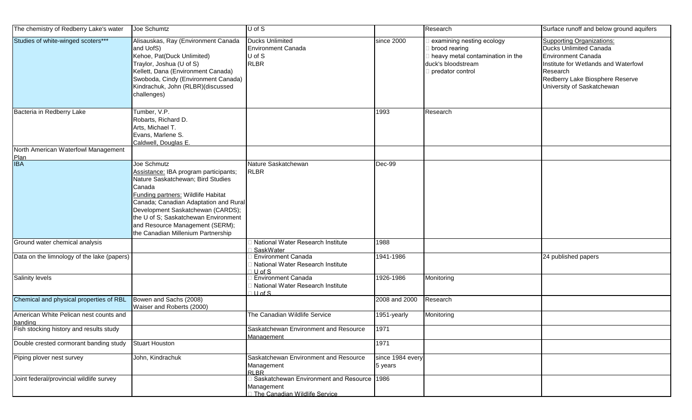| The chemistry of Redberry Lake's water            | Joe Schumtz                                                                                                                                                                                                                                                                                                                              | U of S                                                                                    |                             | Research                                                                                                                 | Surface runoff and below ground aquifers                                                                                                                                                                            |
|---------------------------------------------------|------------------------------------------------------------------------------------------------------------------------------------------------------------------------------------------------------------------------------------------------------------------------------------------------------------------------------------------|-------------------------------------------------------------------------------------------|-----------------------------|--------------------------------------------------------------------------------------------------------------------------|---------------------------------------------------------------------------------------------------------------------------------------------------------------------------------------------------------------------|
| Studies of white-winged scoters***                | Alisauskas, Ray (Environment Canada<br>and UofS)<br>Kehoe, Pat(Duck Unlimited)<br>Traylor, Joshua (U of S)<br>Kellett, Dana (Environment Canada)<br>Swoboda, Cindy (Environment Canada)<br>Kindrachuk, John (RLBR)(discussed<br>challenges)                                                                                              | <b>Ducks Unlimited</b><br><b>Environment Canada</b><br>U of S<br><b>RLBR</b>              | since 2000                  | examining nesting ecology<br>brood rearing<br>heavy metal contamination in the<br>duck's bloodstream<br>predator control | <b>Supporting Organizations:</b><br><b>Ducks Unlimited Canada</b><br><b>Environment Canada</b><br>Institute for Wetlands and Waterfowl<br>Research<br>Redberry Lake Biosphere Reserve<br>University of Saskatchewan |
| Bacteria in Redberry Lake                         | Tumber, V.P.<br>Robarts, Richard D.<br>Arts, Michael T.<br>Evans, Marlene S.<br>Caldwell, Douglas E.                                                                                                                                                                                                                                     |                                                                                           | 1993                        | Research                                                                                                                 |                                                                                                                                                                                                                     |
| North American Waterfowl Management               |                                                                                                                                                                                                                                                                                                                                          |                                                                                           |                             |                                                                                                                          |                                                                                                                                                                                                                     |
| Plan<br>IBA                                       | Joe Schmutz<br>Assistance: IBA program participants;<br>Nature Saskatchewan; Bird Studies<br>Canada<br>Funding partners: Wildlife Habitat<br>Canada; Canadian Adaptation and Rural<br>Development Saskatchewan (CARDS);<br>the U of S; Saskatchewan Environment<br>and Resource Management (SERM);<br>the Canadian Millenium Partnership | Nature Saskatchewan<br><b>RLBR</b>                                                        | Dec-99                      |                                                                                                                          |                                                                                                                                                                                                                     |
| Ground water chemical analysis                    |                                                                                                                                                                                                                                                                                                                                          | National Water Research Institute<br>SaskWater                                            | 1988                        |                                                                                                                          |                                                                                                                                                                                                                     |
| Data on the limnology of the lake (papers)        |                                                                                                                                                                                                                                                                                                                                          | <b>Environment Canada</b><br>National Water Research Institute<br>$U$ of $S$              | 1941-1986                   |                                                                                                                          | 24 published papers                                                                                                                                                                                                 |
| <b>Salinity levels</b>                            |                                                                                                                                                                                                                                                                                                                                          | <b>Environment Canada</b><br>National Water Research Institute<br>$1$ U of S              | 1926-1986                   | Monitoring                                                                                                               |                                                                                                                                                                                                                     |
| Chemical and physical properties of RBL           | Bowen and Sachs (2008)<br>Waiser and Roberts (2000)                                                                                                                                                                                                                                                                                      |                                                                                           | 2008 and 2000               | Research                                                                                                                 |                                                                                                                                                                                                                     |
| American White Pelican nest counts and<br>banding |                                                                                                                                                                                                                                                                                                                                          | The Canadian Wildlife Service                                                             | 1951-yearly                 | Monitoring                                                                                                               |                                                                                                                                                                                                                     |
| Fish stocking history and results study           |                                                                                                                                                                                                                                                                                                                                          | Saskatchewan Environment and Resource<br>Management                                       | 1971                        |                                                                                                                          |                                                                                                                                                                                                                     |
| Double crested cormorant banding study            | <b>Stuart Houston</b>                                                                                                                                                                                                                                                                                                                    |                                                                                           | 1971                        |                                                                                                                          |                                                                                                                                                                                                                     |
| Piping plover nest survey                         | John, Kindrachuk                                                                                                                                                                                                                                                                                                                         | Saskatchewan Environment and Resource<br>Management<br><b>RLBR</b>                        | since 1984 every<br>5 years |                                                                                                                          |                                                                                                                                                                                                                     |
| Joint federal/provincial wildlife survey          |                                                                                                                                                                                                                                                                                                                                          | Saskatchewan Environment and Resource 1986<br>Management<br>The Canadian Wildlife Service |                             |                                                                                                                          |                                                                                                                                                                                                                     |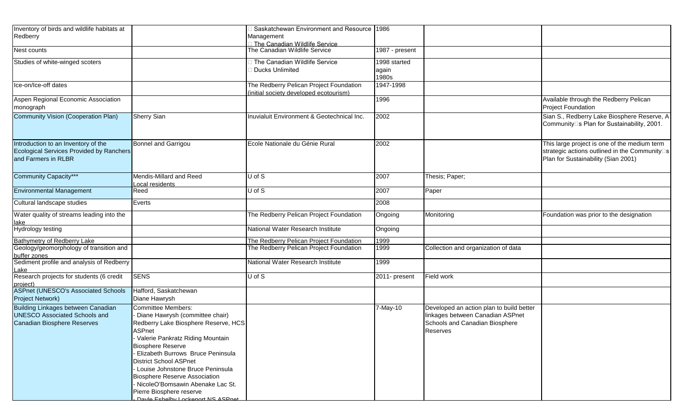| Inventory of birds and wildlife habitats at<br>Redberry                                                          |                                                                                                                                                                                                                                                                                                                                                                                                                                         | Saskatchewan Environment and Resource 1986<br>Management                         |                                |                                                                                                                            |                                                                                                                                                   |
|------------------------------------------------------------------------------------------------------------------|-----------------------------------------------------------------------------------------------------------------------------------------------------------------------------------------------------------------------------------------------------------------------------------------------------------------------------------------------------------------------------------------------------------------------------------------|----------------------------------------------------------------------------------|--------------------------------|----------------------------------------------------------------------------------------------------------------------------|---------------------------------------------------------------------------------------------------------------------------------------------------|
| Nest counts                                                                                                      |                                                                                                                                                                                                                                                                                                                                                                                                                                         | □ The Canadian Wildlife Service<br>The Canadian Wildlife Service                 | 1987 - present                 |                                                                                                                            |                                                                                                                                                   |
| Studies of white-winged scoters                                                                                  |                                                                                                                                                                                                                                                                                                                                                                                                                                         | The Canadian Wildlife Service<br><b>Ducks Unlimited</b>                          | 1998 started<br>again<br>1980s |                                                                                                                            |                                                                                                                                                   |
| Ice-on/Ice-off dates                                                                                             |                                                                                                                                                                                                                                                                                                                                                                                                                                         | The Redberry Pelican Project Foundation<br>initial society developed ecotourism) | 1947-1998                      |                                                                                                                            |                                                                                                                                                   |
| Aspen Regional Economic Association<br>monograph                                                                 |                                                                                                                                                                                                                                                                                                                                                                                                                                         |                                                                                  | 1996                           |                                                                                                                            | Available through the Redberry Pelican<br><b>Project Foundation</b>                                                                               |
| <b>Community Vision (Cooperation Plan)</b>                                                                       | <b>Sherry Sian</b>                                                                                                                                                                                                                                                                                                                                                                                                                      | nuvialuit Environment & Geotechnical Inc.                                        | 2002                           |                                                                                                                            | Sian S., Redberry Lake Biosphere Reserve, A<br>Community□s Plan for Sustainability, 2001.                                                         |
| Introduction to an Inventory of the<br><b>Ecological Services Provided by Ranchers</b><br>and Farmers in RLBR    | Bonnel and Garrigou                                                                                                                                                                                                                                                                                                                                                                                                                     | Ecole Nationale du Génie Rural                                                   | 2002                           |                                                                                                                            | This large project is one of the medium term<br>strategic actions outlined in the Community <sup>[5]</sup><br>Plan for Sustainability (Sian 2001) |
| Community Capacity***                                                                                            | Mendis-Millard and Reed<br>Local residents                                                                                                                                                                                                                                                                                                                                                                                              | U of S                                                                           | 2007                           | Thesis; Paper;                                                                                                             |                                                                                                                                                   |
| <b>Environmental Management</b>                                                                                  | Reed                                                                                                                                                                                                                                                                                                                                                                                                                                    | U of S                                                                           | 2007                           | Paper                                                                                                                      |                                                                                                                                                   |
| Cultural landscape studies                                                                                       | Everts                                                                                                                                                                                                                                                                                                                                                                                                                                  |                                                                                  | 2008                           |                                                                                                                            |                                                                                                                                                   |
| Water quality of streams leading into the<br><u>lake</u>                                                         |                                                                                                                                                                                                                                                                                                                                                                                                                                         | The Redberry Pelican Project Foundation                                          | Ongoing                        | Monitoring                                                                                                                 | Foundation was prior to the designation                                                                                                           |
| <b>Hydrology testing</b>                                                                                         |                                                                                                                                                                                                                                                                                                                                                                                                                                         | National Water Research Institute                                                | Ongoing                        |                                                                                                                            |                                                                                                                                                   |
| Bathymetry of Redberry Lake                                                                                      |                                                                                                                                                                                                                                                                                                                                                                                                                                         | The Redberry Pelican Project Foundation                                          | 1999                           |                                                                                                                            |                                                                                                                                                   |
| Geology/geomorphology of transition and<br>buffer zones                                                          |                                                                                                                                                                                                                                                                                                                                                                                                                                         | The Redberry Pelican Project Foundation                                          | 1999                           | Collection and organization of data                                                                                        |                                                                                                                                                   |
| Sediment profile and analysis of Redberry<br>Lake                                                                |                                                                                                                                                                                                                                                                                                                                                                                                                                         | National Water Research Institute                                                | 1999                           |                                                                                                                            |                                                                                                                                                   |
| Research projects for students (6 credit<br>project)                                                             | <b>SENS</b>                                                                                                                                                                                                                                                                                                                                                                                                                             | U of S                                                                           | 2011- present                  | Field work                                                                                                                 |                                                                                                                                                   |
| <b>ASPnet (UNESCO's Associated Schools</b><br>Project Network)                                                   | Hafford, Saskatchewan<br>Diane Hawrysh                                                                                                                                                                                                                                                                                                                                                                                                  |                                                                                  |                                |                                                                                                                            |                                                                                                                                                   |
| <b>Building Linkages between Canadian</b><br><b>UNESCO Associated Schools and</b><br>Canadian Biosphere Reserves | <b>Committee Members:</b><br>Diane Hawrysh (committee chair)<br>Redberry Lake Biosphere Reserve, HCS<br>ASPnet<br>Valerie Pankratz Riding Mountain<br><b>Biosphere Reserve</b><br>Elizabeth Burrows Bruce Peninsula<br><b>District School ASPnet</b><br>Louise Johnstone Bruce Peninsula<br><b>Biosphere Reserve Association</b><br>- NicoleO'Bomsawin Abenake Lac St.<br>Pierre Biosphere reserve<br>Davie Febelby Lockeport NS ASDnet |                                                                                  | 7-May-10                       | Developed an action plan to build better<br>linkages between Canadian ASPnet<br>Schools and Canadian Biosphere<br>Reserves |                                                                                                                                                   |